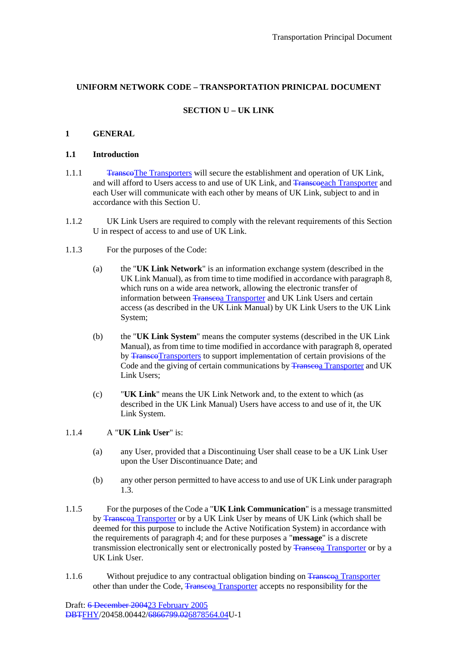## **UNIFORM NETWORK CODE – TRANSPORTATION PRINICPAL DOCUMENT**

## **SECTION U – UK LINK**

### **1 GENERAL**

#### **1.1 Introduction**

- 1.1.1 TranscoThe Transporters will secure the establishment and operation of UK Link, and will afford to Users access to and use of UK Link, and Transporter and Transporter and each User will communicate with each other by means of UK Link, subject to and in accordance with this Section U.
- 1.1.2 UK Link Users are required to comply with the relevant requirements of this Section U in respect of access to and use of UK Link.
- 1.1.3 For the purposes of the Code:
	- (a) the "**UK Link Network**" is an information exchange system (described in the UK Link Manual), as from time to time modified in accordance with paragraph 8, which runs on a wide area network, allowing the electronic transfer of information between Transcoa Transporter and UK Link Users and certain access (as described in the UK Link Manual) by UK Link Users to the UK Link System;
	- (b) the "**UK Link System**" means the computer systems (described in the UK Link Manual), as from time to time modified in accordance with paragraph 8, operated by Transco Transporters to support implementation of certain provisions of the Code and the giving of certain communications by Transporter and UK Link Users;
	- (c) "**UK Link**" means the UK Link Network and, to the extent to which (as described in the UK Link Manual) Users have access to and use of it, the UK Link System.

### 1.1.4 A "**UK Link User**" is:

- (a) any User, provided that a Discontinuing User shall cease to be a UK Link User upon the User Discontinuance Date; and
- (b) any other person permitted to have access to and use of UK Link under paragraph 1.3.
- 1.1.5 For the purposes of the Code a "**UK Link Communication**" is a message transmitted by Transcoa Transporter or by a UK Link User by means of UK Link (which shall be deemed for this purpose to include the Active Notification System) in accordance with the requirements of paragraph 4; and for these purposes a "**message**" is a discrete transmission electronically sent or electronically posted by Transporter or by a UK Link User.
- 1.1.6 Without prejudice to any contractual obligation binding on Transporter other than under the Code, Transcoa Transporter accepts no responsibility for the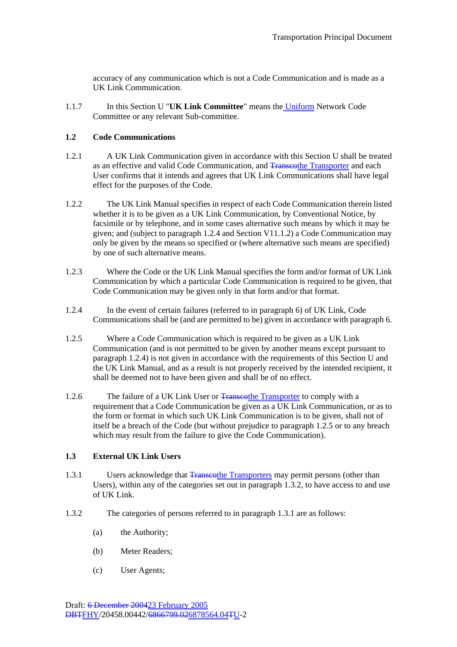accuracy of any communication which is not a Code Communication and is made as a UK Link Communication.

1.1.7 In this Section U "**UK Link Committee**" means the Uniform Network Code Committee or any relevant Sub-committee.

### **1.2 Code Communications**

- 1.2.1 A UK Link Communication given in accordance with this Section U shall be treated as an effective and valid Code Communication, and Transcothe Transporter and each User confirms that it intends and agrees that UK Link Communications shall have legal effect for the purposes of the Code.
- 1.2.2 The UK Link Manual specifies in respect of each Code Communication therein listed whether it is to be given as a UK Link Communication, by Conventional Notice, by facsimile or by telephone, and in some cases alternative such means by which it may be given; and (subject to paragraph 1.2.4 and Section V11.1.2) a Code Communication may only be given by the means so specified or (where alternative such means are specified) by one of such alternative means.
- 1.2.3 Where the Code or the UK Link Manual specifies the form and/or format of UK Link Communication by which a particular Code Communication is required to be given, that Code Communication may be given only in that form and/or that format.
- 1.2.4 In the event of certain failures (referred to in paragraph 6) of UK Link, Code Communications shall be (and are permitted to be) given in accordance with paragraph 6.
- 1.2.5 Where a Code Communication which is required to be given as a UK Link Communication (and is not permitted to be given by another means except pursuant to paragraph 1.2.4) is not given in accordance with the requirements of this Section U and the UK Link Manual, and as a result is not properly received by the intended recipient, it shall be deemed not to have been given and shall be of no effect.
- 1.2.6 The failure of a UK Link User or Transporter to comply with a requirement that a Code Communication be given as a UK Link Communication, or as to the form or format in which such UK Link Communication is to be given, shall not of itself be a breach of the Code (but without prejudice to paragraph 1.2.5 or to any breach which may result from the failure to give the Code Communication).

## **1.3 External UK Link Users**

- 1.3.1 Users acknowledge that Transcothe Transporters may permit persons (other than Users), within any of the categories set out in paragraph 1.3.2, to have access to and use of UK Link.
- 1.3.2 The categories of persons referred to in paragraph 1.3.1 are as follows:
	- (a) the Authority;
	- (b) Meter Readers;
	- (c) User Agents;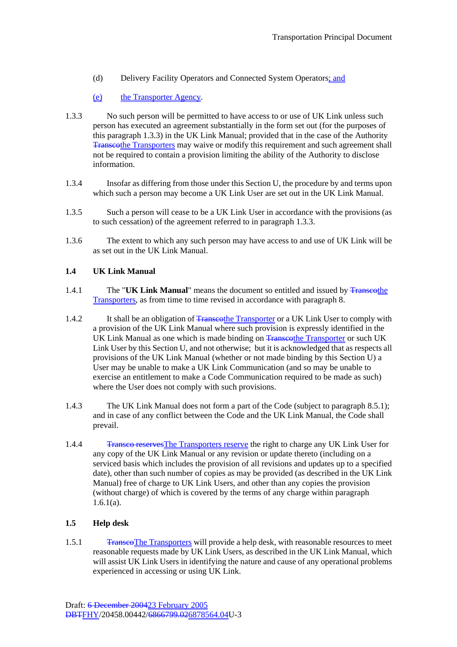- (d) Delivery Facility Operators and Connected System Operators; and
- (e) the Transporter Agency.
- 1.3.3 No such person will be permitted to have access to or use of UK Link unless such person has executed an agreement substantially in the form set out (for the purposes of this paragraph 1.3.3) in the UK Link Manual; provided that in the case of the Authority Transcothe Transporters may waive or modify this requirement and such agreement shall not be required to contain a provision limiting the ability of the Authority to disclose information.
- 1.3.4 Insofar as differing from those under this Section U, the procedure by and terms upon which such a person may become a UK Link User are set out in the UK Link Manual.
- 1.3.5 Such a person will cease to be a UK Link User in accordance with the provisions (as to such cessation) of the agreement referred to in paragraph 1.3.3.
- 1.3.6 The extent to which any such person may have access to and use of UK Link will be as set out in the UK Link Manual.

#### **1.4 UK Link Manual**

- 1.4.1 The "**UK Link Manual**" means the document so entitled and issued by Transcothe Transporters, as from time to time revised in accordance with paragraph 8.
- 1.4.2 It shall be an obligation of Transporter or a UK Link User to comply with a provision of the UK Link Manual where such provision is expressly identified in the UK Link Manual as one which is made binding on Transporter or such UK UK Link Manual as one which is made binding on Transporter or such UK Link User by this Section U, and not otherwise; but it is acknowledged that as respects all provisions of the UK Link Manual (whether or not made binding by this Section U) a User may be unable to make a UK Link Communication (and so may be unable to exercise an entitlement to make a Code Communication required to be made as such) where the User does not comply with such provisions.
- 1.4.3 The UK Link Manual does not form a part of the Code (subject to paragraph 8.5.1); and in case of any conflict between the Code and the UK Link Manual, the Code shall prevail.
- 1.4.4 Transco reserves The Transporters reserve the right to charge any UK Link User for any copy of the UK Link Manual or any revision or update thereto (including on a serviced basis which includes the provision of all revisions and updates up to a specified date), other than such number of copies as may be provided (as described in the UK Link Manual) free of charge to UK Link Users, and other than any copies the provision (without charge) of which is covered by the terms of any charge within paragraph 1.6.1(a).

## **1.5 Help desk**

1.5.1 TranscoThe Transporters will provide a help desk, with reasonable resources to meet reasonable requests made by UK Link Users, as described in the UK Link Manual, which will assist UK Link Users in identifying the nature and cause of any operational problems experienced in accessing or using UK Link.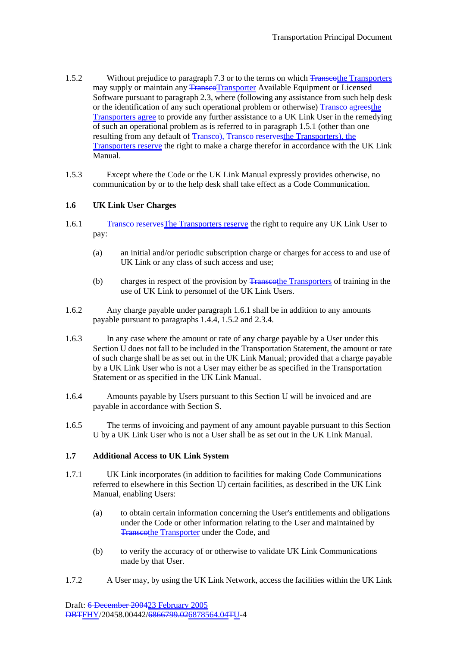- 1.5.2 Without prejudice to paragraph 7.3 or to the terms on which Transporters Without prejudice to paragraph 7.3 or to the terms on which Transporters may supply or maintain any **TranscoTransporter** Available Equipment or Licensed Software pursuant to paragraph 2.3, where (following any assistance from such help desk or the identification of any such operational problem or otherwise) Transco agrees the Transporters agree to provide any further assistance to a UK Link User in the remedying of such an operational problem as is referred to in paragraph 1.5.1 (other than one resulting from any default of Transco), Transco reservesthe Transporters), the Transporters reserve the right to make a charge therefor in accordance with the UK Link Manual.
- 1.5.3 Except where the Code or the UK Link Manual expressly provides otherwise, no communication by or to the help desk shall take effect as a Code Communication.

## **1.6 UK Link User Charges**

- 1.6.1 Transco reserves The Transporters reserve the right to require any UK Link User to pay:
	- (a) an initial and/or periodic subscription charge or charges for access to and use of UK Link or any class of such access and use;
	- (b) charges in respect of the provision by Transcothe Transporters of training in the use of UK Link to personnel of the UK Link Users.
- 1.6.2 Any charge payable under paragraph 1.6.1 shall be in addition to any amounts payable pursuant to paragraphs 1.4.4, 1.5.2 and 2.3.4.
- 1.6.3 In any case where the amount or rate of any charge payable by a User under this Section U does not fall to be included in the Transportation Statement, the amount or rate of such charge shall be as set out in the UK Link Manual; provided that a charge payable by a UK Link User who is not a User may either be as specified in the Transportation Statement or as specified in the UK Link Manual.
- 1.6.4 Amounts payable by Users pursuant to this Section U will be invoiced and are payable in accordance with Section S.
- 1.6.5 The terms of invoicing and payment of any amount payable pursuant to this Section U by a UK Link User who is not a User shall be as set out in the UK Link Manual.

## **1.7 Additional Access to UK Link System**

- 1.7.1 UK Link incorporates (in addition to facilities for making Code Communications referred to elsewhere in this Section U) certain facilities, as described in the UK Link Manual, enabling Users:
	- (a) to obtain certain information concerning the User's entitlements and obligations under the Code or other information relating to the User and maintained by Transcothe Transporter under the Code, and
	- (b) to verify the accuracy of or otherwise to validate UK Link Communications made by that User.
- 1.7.2 A User may, by using the UK Link Network, access the facilities within the UK Link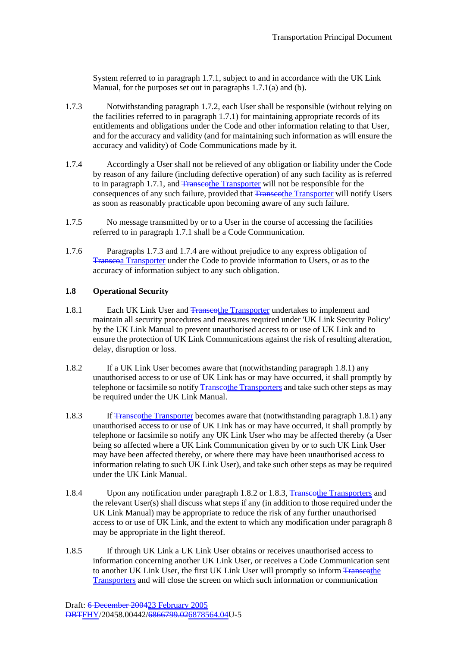System referred to in paragraph 1.7.1, subject to and in accordance with the UK Link Manual, for the purposes set out in paragraphs 1.7.1(a) and (b).

- 1.7.3 Notwithstanding paragraph 1.7.2, each User shall be responsible (without relying on the facilities referred to in paragraph 1.7.1) for maintaining appropriate records of its entitlements and obligations under the Code and other information relating to that User, and for the accuracy and validity (and for maintaining such information as will ensure the accuracy and validity) of Code Communications made by it.
- 1.7.4 Accordingly a User shall not be relieved of any obligation or liability under the Code by reason of any failure (including defective operation) of any such facility as is referred to in paragraph 1.7.1, and Transcothe Transporter will not be responsible for the consequences of any such failure, provided that Transporter will notify Users as soon as reasonably practicable upon becoming aware of any such failure.
- 1.7.5 No message transmitted by or to a User in the course of accessing the facilities referred to in paragraph 1.7.1 shall be a Code Communication.
- 1.7.6 Paragraphs 1.7.3 and 1.7.4 are without prejudice to any express obligation of Transcoa Transporter under the Code to provide information to Users, or as to the accuracy of information subject to any such obligation.

### **1.8 Operational Security**

- 1.8.1 Each UK Link User and Transporter undertakes to implement and maintain all security procedures and measures required under 'UK Link Security Policy' by the UK Link Manual to prevent unauthorised access to or use of UK Link and to ensure the protection of UK Link Communications against the risk of resulting alteration, delay, disruption or loss.
- 1.8.2 If a UK Link User becomes aware that (notwithstanding paragraph 1.8.1) any unauthorised access to or use of UK Link has or may have occurred, it shall promptly by telephone or facsimile so notify Transporters and take such other steps as may be required under the UK Link Manual.
- 1.8.3 If Transcothe Transporter becomes aware that (notwithstanding paragraph 1.8.1) any unauthorised access to or use of UK Link has or may have occurred, it shall promptly by telephone or facsimile so notify any UK Link User who may be affected thereby (a User being so affected where a UK Link Communication given by or to such UK Link User may have been affected thereby, or where there may have been unauthorised access to information relating to such UK Link User), and take such other steps as may be required under the UK Link Manual.
- 1.8.4 Upon any notification under paragraph 1.8.2 or 1.8.3, Transporters and 1.8.4 the relevant User(s) shall discuss what steps if any (in addition to those required under the UK Link Manual) may be appropriate to reduce the risk of any further unauthorised access to or use of UK Link, and the extent to which any modification under paragraph 8 may be appropriate in the light thereof.
- 1.8.5 If through UK Link a UK Link User obtains or receives unauthorised access to information concerning another UK Link User, or receives a Code Communication sent to another UK Link User, the first UK Link User will promptly so inform Transcothe Transporters and will close the screen on which such information or communication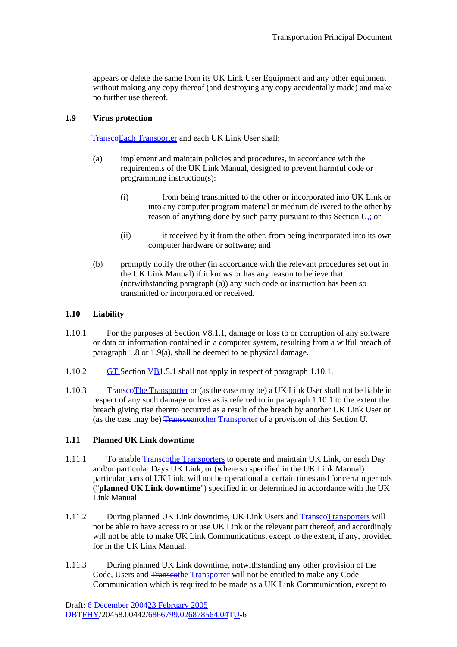appears or delete the same from its UK Link User Equipment and any other equipment without making any copy thereof (and destroying any copy accidentally made) and make no further use thereof.

### **1.9 Virus protection**

TranscoEach Transporter and each UK Link User shall:

- (a) implement and maintain policies and procedures, in accordance with the requirements of the UK Link Manual, designed to prevent harmful code or programming instruction(s):
	- (i) from being transmitted to the other or incorporated into UK Link or into any computer program material or medium delivered to the other by reason of anything done by such party pursuant to this Section  $U_{\tau_{\lambda}}$  or
	- (ii) if received by it from the other, from being incorporated into its own computer hardware or software; and
- (b) promptly notify the other (in accordance with the relevant procedures set out in the UK Link Manual) if it knows or has any reason to believe that (notwithstanding paragraph (a)) any such code or instruction has been so transmitted or incorporated or received.

## **1.10 Liability**

- 1.10.1 For the purposes of Section V8.1.1, damage or loss to or corruption of any software or data or information contained in a computer system, resulting from a wilful breach of paragraph 1.8 or 1.9(a), shall be deemed to be physical damage.
- 1.10.2 GT Section  $\frac{\sqrt{B}}{1.5.1}$  shall not apply in respect of paragraph 1.10.1.
- 1.10.3 Transco The Transporter or (as the case may be) a UK Link User shall not be liable in respect of any such damage or loss as is referred to in paragraph 1.10.1 to the extent the breach giving rise thereto occurred as a result of the breach by another UK Link User or (as the case may be) Transcoanother Transporter of a provision of this Section U.

## **1.11 Planned UK Link downtime**

- 1.11.1 To enable Transporters to operate and maintain UK Link, on each Day and/or particular Days UK Link, or (where so specified in the UK Link Manual) particular parts of UK Link, will not be operational at certain times and for certain periods ("**planned UK Link downtime**") specified in or determined in accordance with the UK Link Manual.
- 1.11.2 During planned UK Link downtime, UK Link Users and TranscoTransporters will not be able to have access to or use UK Link or the relevant part thereof, and accordingly will not be able to make UK Link Communications, except to the extent, if any, provided for in the UK Link Manual.
- 1.11.3 During planned UK Link downtime, notwithstanding any other provision of the Code, Users and Transcothe Transporter will not be entitled to make any Code Communication which is required to be made as a UK Link Communication, except to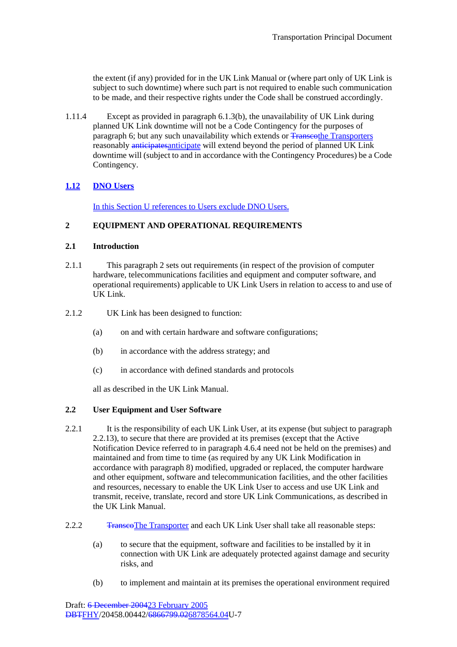the extent (if any) provided for in the UK Link Manual or (where part only of UK Link is subject to such downtime) where such part is not required to enable such communication to be made, and their respective rights under the Code shall be construed accordingly.

1.11.4 Except as provided in paragraph 6.1.3(b), the unavailability of UK Link during planned UK Link downtime will not be a Code Contingency for the purposes of paragraph 6; but any such unavailability which extends or Franses the Transporters reasonably anticipates anticipate will extend beyond the period of planned UK Link downtime will (subject to and in accordance with the Contingency Procedures) be a Code Contingency.

# **1.12 DNO Users**

In this Section U references to Users exclude DNO Users.

## **2 EQUIPMENT AND OPERATIONAL REQUIREMENTS**

### **2.1 Introduction**

- 2.1.1 This paragraph 2 sets out requirements (in respect of the provision of computer hardware, telecommunications facilities and equipment and computer software, and operational requirements) applicable to UK Link Users in relation to access to and use of UK Link.
- 2.1.2 UK Link has been designed to function:
	- (a) on and with certain hardware and software configurations;
	- (b) in accordance with the address strategy; and
	- (c) in accordance with defined standards and protocols

all as described in the UK Link Manual.

## **2.2 User Equipment and User Software**

- 2.2.1 It is the responsibility of each UK Link User, at its expense (but subject to paragraph 2.2.13), to secure that there are provided at its premises (except that the Active Notification Device referred to in paragraph 4.6.4 need not be held on the premises) and maintained and from time to time (as required by any UK Link Modification in accordance with paragraph 8) modified, upgraded or replaced, the computer hardware and other equipment, software and telecommunication facilities, and the other facilities and resources, necessary to enable the UK Link User to access and use UK Link and transmit, receive, translate, record and store UK Link Communications, as described in the UK Link Manual.
- 2.2.2 TranscoThe Transporter and each UK Link User shall take all reasonable steps:
	- (a) to secure that the equipment, software and facilities to be installed by it in connection with UK Link are adequately protected against damage and security risks, and
	- (b) to implement and maintain at its premises the operational environment required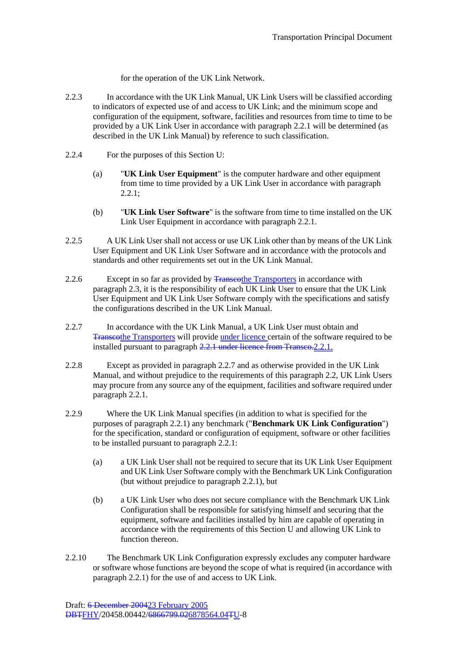for the operation of the UK Link Network.

- 2.2.3 In accordance with the UK Link Manual, UK Link Users will be classified according to indicators of expected use of and access to UK Link; and the minimum scope and configuration of the equipment, software, facilities and resources from time to time to be provided by a UK Link User in accordance with paragraph 2.2.1 will be determined (as described in the UK Link Manual) by reference to such classification.
- 2.2.4 For the purposes of this Section U:
	- (a) "**UK Link User Equipment**" is the computer hardware and other equipment from time to time provided by a UK Link User in accordance with paragraph  $2.2.1$ :
	- (b) "**UK Link User Software**" is the software from time to time installed on the UK Link User Equipment in accordance with paragraph 2.2.1.
- 2.2.5 A UK Link User shall not access or use UK Link other than by means of the UK Link User Equipment and UK Link User Software and in accordance with the protocols and standards and other requirements set out in the UK Link Manual.
- 2.2.6 Except in so far as provided by Transcothe Transporters in accordance with paragraph 2.3, it is the responsibility of each UK Link User to ensure that the UK Link User Equipment and UK Link User Software comply with the specifications and satisfy the configurations described in the UK Link Manual.
- 2.2.7 In accordance with the UK Link Manual, a UK Link User must obtain and Transcothe Transporters will provide under licence certain of the software required to be installed pursuant to paragraph 2.2.1 under licence from Transco. 2.2.1.
- 2.2.8 Except as provided in paragraph 2.2.7 and as otherwise provided in the UK Link Manual, and without prejudice to the requirements of this paragraph 2.2, UK Link Users may procure from any source any of the equipment, facilities and software required under paragraph 2.2.1.
- 2.2.9 Where the UK Link Manual specifies (in addition to what is specified for the purposes of paragraph 2.2.1) any benchmark ("**Benchmark UK Link Configuration**") for the specification, standard or configuration of equipment, software or other facilities to be installed pursuant to paragraph 2.2.1:
	- (a) a UK Link User shall not be required to secure that its UK Link User Equipment and UK Link User Software comply with the Benchmark UK Link Configuration (but without prejudice to paragraph 2.2.1), but
	- (b) a UK Link User who does not secure compliance with the Benchmark UK Link Configuration shall be responsible for satisfying himself and securing that the equipment, software and facilities installed by him are capable of operating in accordance with the requirements of this Section U and allowing UK Link to function thereon.
- 2.2.10 The Benchmark UK Link Configuration expressly excludes any computer hardware or software whose functions are beyond the scope of what is required (in accordance with paragraph 2.2.1) for the use of and access to UK Link.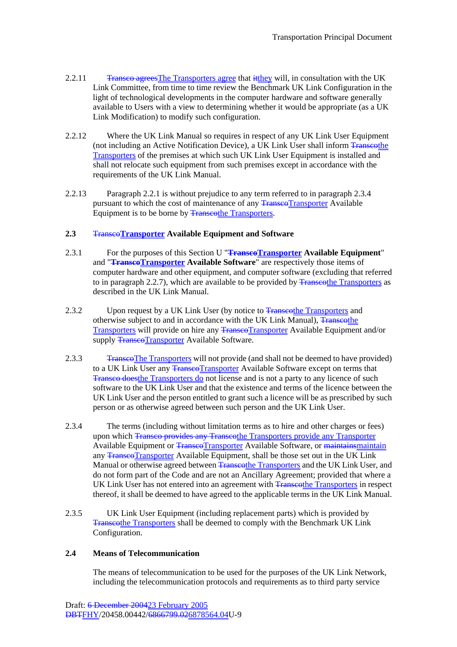- 2.2.11 Transco agrees The Transporters agree that it they will, in consultation with the UK Link Committee, from time to time review the Benchmark UK Link Configuration in the light of technological developments in the computer hardware and software generally available to Users with a view to determining whether it would be appropriate (as a UK Link Modification) to modify such configuration.
- 2.2.12 Where the UK Link Manual so requires in respect of any UK Link User Equipment (not including an Active Notification Device), a UK Link User shall inform Transcothe Transporters of the premises at which such UK Link User Equipment is installed and shall not relocate such equipment from such premises except in accordance with the requirements of the UK Link Manual.
- 2.2.13 Paragraph 2.2.1 is without prejudice to any term referred to in paragraph 2.3.4 pursuant to which the cost of maintenance of any **TranscoTransporter** Available Equipment is to be borne by Transporters.

### **2.3** Transco**Transporter Available Equipment and Software**

- 2.3.1 For the purposes of this Section U "**TranscoTransporter Available Equipment**" and "**TranscoTransporter Available Software**" are respectively those items of computer hardware and other equipment, and computer software (excluding that referred to in paragraph 2.2.7), which are available to be provided by Transporters as described in the UK Link Manual.
- 2.3.2 Upon request by a UK Link User (by notice to Transporters and UK Link User (by notice to Transporters and otherwise subject to and in accordance with the UK Link Manual), Transcothe Transporters will provide on hire any TranseoTransporter Available Equipment and/or supply TranscoTransporter Available Software.
- 2.3.3 Transco The Transporters will not provide (and shall not be deemed to have provided) to a UK Link User any TranscoTransporter Available Software except on terms that Transco doesthe Transporters do not license and is not a party to any licence of such software to the UK Link User and that the existence and terms of the licence between the UK Link User and the person entitled to grant such a licence will be as prescribed by such person or as otherwise agreed between such person and the UK Link User.
- 2.3.4 The terms (including without limitation terms as to hire and other charges or fees) upon which Transco provides any Transcothe Transporters provide any Transporter Available Equipment or Transco Transporter Available Software, or maintainsmaintain any Transco Transporter Available Equipment, shall be those set out in the UK Link Manual or otherwise agreed between Transcothe Transporters and the UK Link User, and do not form part of the Code and are not an Ancillary Agreement; provided that where a UK Link User has not entered into an agreement with Transporters in respect thereof, it shall be deemed to have agreed to the applicable terms in the UK Link Manual.
- 2.3.5 UK Link User Equipment (including replacement parts) which is provided by Transcothe Transporters shall be deemed to comply with the Benchmark UK Link Configuration.

#### **2.4 Means of Telecommunication**

The means of telecommunication to be used for the purposes of the UK Link Network, including the telecommunication protocols and requirements as to third party service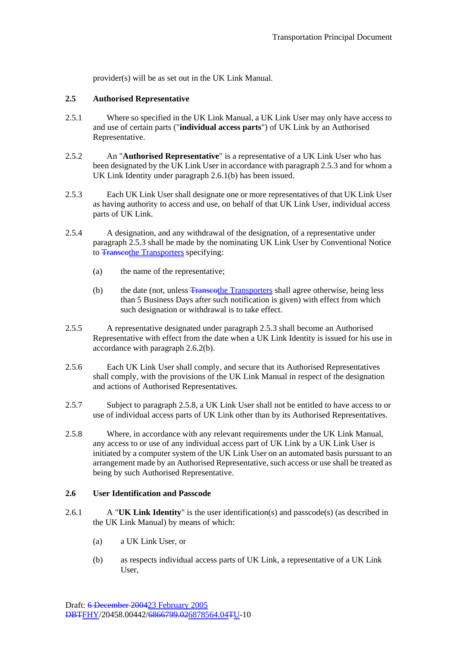provider(s) will be as set out in the UK Link Manual.

### **2.5 Authorised Representative**

- 2.5.1 Where so specified in the UK Link Manual, a UK Link User may only have access to and use of certain parts ("**individual access parts**") of UK Link by an Authorised Representative.
- 2.5.2 An "**Authorised Representative**" is a representative of a UK Link User who has been designated by the UK Link User in accordance with paragraph 2.5.3 and for whom a UK Link Identity under paragraph 2.6.1(b) has been issued.
- 2.5.3 Each UK Link User shall designate one or more representatives of that UK Link User as having authority to access and use, on behalf of that UK Link User, individual access parts of UK Link.
- 2.5.4 A designation, and any withdrawal of the designation, of a representative under paragraph 2.5.3 shall be made by the nominating UK Link User by Conventional Notice to Transcothe Transporters specifying:
	- (a) the name of the representative;
	- (b) the date (not, unless Transcothe Transporters shall agree otherwise, being less than 5 Business Days after such notification is given) with effect from which such designation or withdrawal is to take effect.
- 2.5.5 A representative designated under paragraph 2.5.3 shall become an Authorised Representative with effect from the date when a UK Link Identity is issued for his use in accordance with paragraph 2.6.2(b).
- 2.5.6 Each UK Link User shall comply, and secure that its Authorised Representatives shall comply, with the provisions of the UK Link Manual in respect of the designation and actions of Authorised Representatives.
- 2.5.7 Subject to paragraph 2.5.8, a UK Link User shall not be entitled to have access to or use of individual access parts of UK Link other than by its Authorised Representatives.
- 2.5.8 Where, in accordance with any relevant requirements under the UK Link Manual, any access to or use of any individual access part of UK Link by a UK Link User is initiated by a computer system of the UK Link User on an automated basis pursuant to an arrangement made by an Authorised Representative, such access or use shall be treated as being by such Authorised Representative.

### **2.6 User Identification and Passcode**

- 2.6.1 A "**UK Link Identity**" is the user identification(s) and passcode(s) (as described in the UK Link Manual) by means of which:
	- (a) a UK Link User, or
	- (b) as respects individual access parts of UK Link, a representative of a UK Link User,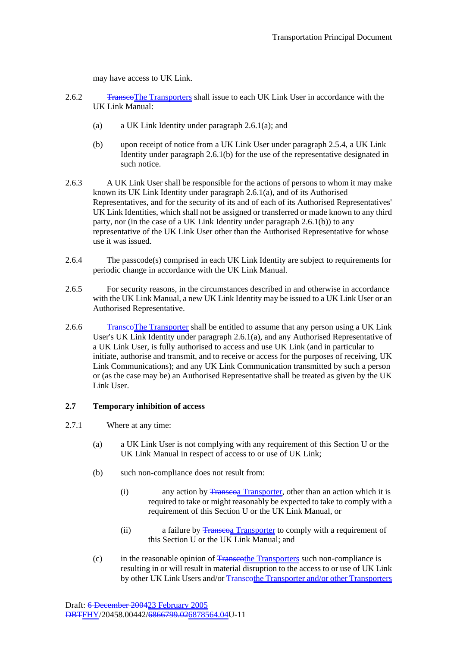may have access to UK Link.

- 2.6.2 Transco The Transporters shall issue to each UK Link User in accordance with the UK Link Manual:
	- (a) a UK Link Identity under paragraph 2.6.1(a); and
	- (b) upon receipt of notice from a UK Link User under paragraph 2.5.4, a UK Link Identity under paragraph 2.6.1(b) for the use of the representative designated in such notice.
- 2.6.3 A UK Link User shall be responsible for the actions of persons to whom it may make known its UK Link Identity under paragraph 2.6.1(a), and of its Authorised Representatives, and for the security of its and of each of its Authorised Representatives' UK Link Identities, which shall not be assigned or transferred or made known to any third party, nor (in the case of a UK Link Identity under paragraph 2.6.1(b)) to any representative of the UK Link User other than the Authorised Representative for whose use it was issued.
- 2.6.4 The passcode(s) comprised in each UK Link Identity are subject to requirements for periodic change in accordance with the UK Link Manual.
- 2.6.5 For security reasons, in the circumstances described in and otherwise in accordance with the UK Link Manual, a new UK Link Identity may be issued to a UK Link User or an Authorised Representative.
- 2.6.6 Transco The Transporter shall be entitled to assume that any person using a UK Link User's UK Link Identity under paragraph 2.6.1(a), and any Authorised Representative of a UK Link User, is fully authorised to access and use UK Link (and in particular to initiate, authorise and transmit, and to receive or access for the purposes of receiving, UK Link Communications); and any UK Link Communication transmitted by such a person or (as the case may be) an Authorised Representative shall be treated as given by the UK Link User.

#### **2.7 Temporary inhibition of access**

- 2.7.1 Where at any time:
	- (a) a UK Link User is not complying with any requirement of this Section U or the UK Link Manual in respect of access to or use of UK Link;
	- (b) such non-compliance does not result from:
		- (i) any action by  $\frac{1}{2}$  any action by  $\frac{1}{2}$  ansporter, other than an action which it is required to take or might reasonably be expected to take to comply with a requirement of this Section U or the UK Link Manual, or
		- (ii) a failure by **Transetical Transporter** to comply with a requirement of this Section U or the UK Link Manual; and
	- (c) in the reasonable opinion of Transcothe Transporters such non-compliance is resulting in or will result in material disruption to the access to or use of UK Link by other UK Link Users and/or <del>Transcothe Transporter and/or other Transporters</del>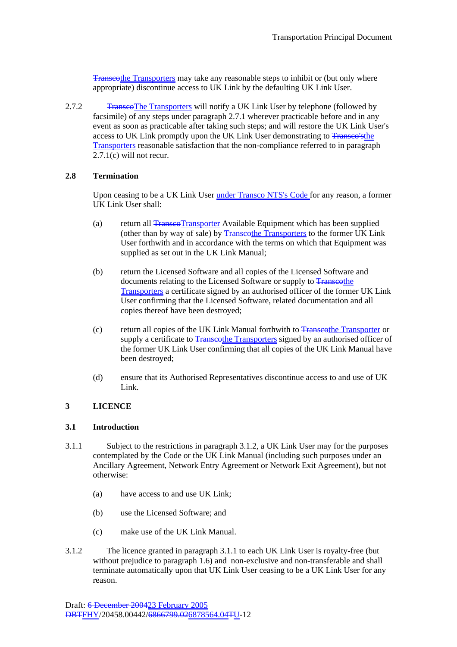Transcothe Transporters may take any reasonable steps to inhibit or (but only where appropriate) discontinue access to UK Link by the defaulting UK Link User.

2.7.2 Transee The Transporters will notify a UK Link User by telephone (followed by facsimile) of any steps under paragraph 2.7.1 wherever practicable before and in any event as soon as practicable after taking such steps; and will restore the UK Link User's access to UK Link promptly upon the UK Link User demonstrating to Transco'sthe Transporters reasonable satisfaction that the non-compliance referred to in paragraph 2.7.1(c) will not recur.

### **2.8 Termination**

Upon ceasing to be a UK Link User under Transco NTS's Code for any reason, a former UK Link User shall:

- (a) return all Transco Transporter Available Equipment which has been supplied (other than by way of sale) by Transcothe Transporters to the former UK Link User forthwith and in accordance with the terms on which that Equipment was supplied as set out in the UK Link Manual;
- (b) return the Licensed Software and all copies of the Licensed Software and documents relating to the Licensed Software or supply to Transcothe Transporters a certificate signed by an authorised officer of the former UK Link User confirming that the Licensed Software, related documentation and all copies thereof have been destroyed;
- (c) return all copies of the UK Link Manual forthwith to Transcothe Transporter or supply a certificate to Transcothe Transporters signed by an authorised officer of the former UK Link User confirming that all copies of the UK Link Manual have been destroyed;
- (d) ensure that its Authorised Representatives discontinue access to and use of UK Link.

### **3 LICENCE**

#### **3.1 Introduction**

- 3.1.1 Subject to the restrictions in paragraph 3.1.2, a UK Link User may for the purposes contemplated by the Code or the UK Link Manual (including such purposes under an Ancillary Agreement, Network Entry Agreement or Network Exit Agreement), but not otherwise:
	- (a) have access to and use UK Link;
	- (b) use the Licensed Software; and
	- (c) make use of the UK Link Manual.
- 3.1.2 The licence granted in paragraph 3.1.1 to each UK Link User is royalty-free (but without prejudice to paragraph 1.6) and non-exclusive and non-transferable and shall terminate automatically upon that UK Link User ceasing to be a UK Link User for any reason.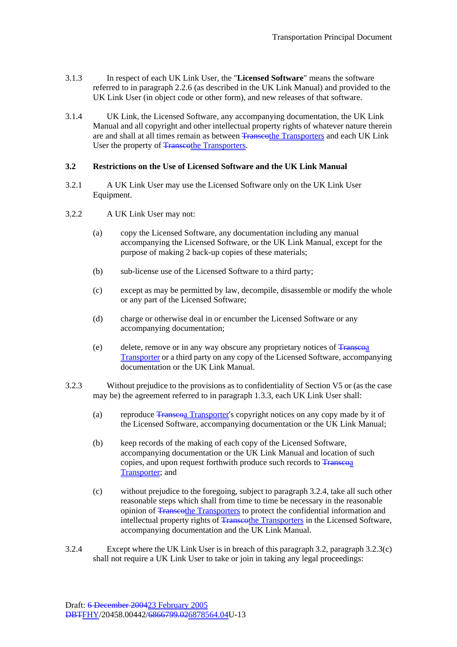- 3.1.3 In respect of each UK Link User, the "**Licensed Software**" means the software referred to in paragraph 2.2.6 (as described in the UK Link Manual) and provided to the UK Link User (in object code or other form), and new releases of that software.
- 3.1.4 UK Link, the Licensed Software, any accompanying documentation, the UK Link Manual and all copyright and other intellectual property rights of whatever nature therein are and shall at all times remain as between Transporters and each UK Link User the property of Transcothe Transporters.

### **3.2 Restrictions on the Use of Licensed Software and the UK Link Manual**

- 3.2.1 A UK Link User may use the Licensed Software only on the UK Link User Equipment.
- 3.2.2 A UK Link User may not:
	- (a) copy the Licensed Software, any documentation including any manual accompanying the Licensed Software, or the UK Link Manual, except for the purpose of making 2 back-up copies of these materials;
	- (b) sub-license use of the Licensed Software to a third party;
	- (c) except as may be permitted by law, decompile, disassemble or modify the whole or any part of the Licensed Software;
	- (d) charge or otherwise deal in or encumber the Licensed Software or any accompanying documentation;
	- (e) delete, remove or in any way obscure any proprietary notices of  $\frac{1}{2}$   $\frac{1}{2}$ Transporter or a third party on any copy of the Licensed Software, accompanying documentation or the UK Link Manual.
- 3.2.3 Without prejudice to the provisions as to confidentiality of Section V5 or (as the case may be) the agreement referred to in paragraph 1.3.3, each UK Link User shall:
	- (a) reproduce Transcoa Transporter's copyright notices on any copy made by it of the Licensed Software, accompanying documentation or the UK Link Manual;
	- (b) keep records of the making of each copy of the Licensed Software, accompanying documentation or the UK Link Manual and location of such copies, and upon request forthwith produce such records to  $T_{\text{ranseq}}$ Transporter; and
	- (c) without prejudice to the foregoing, subject to paragraph 3.2.4, take all such other reasonable steps which shall from time to time be necessary in the reasonable opinion of Transcothe Transporters to protect the confidential information and intellectual property rights of Transporters in the Licensed Software, accompanying documentation and the UK Link Manual.
- 3.2.4 Except where the UK Link User is in breach of this paragraph 3.2, paragraph 3.2.3(c) shall not require a UK Link User to take or join in taking any legal proceedings: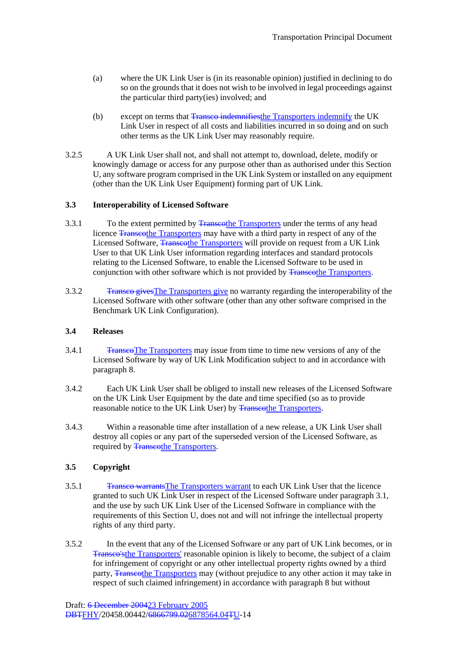- (a) where the UK Link User is (in its reasonable opinion) justified in declining to do so on the grounds that it does not wish to be involved in legal proceedings against the particular third party(ies) involved; and
- (b) except on terms that Transco indemnifies the Transporters indemnify the UK Link User in respect of all costs and liabilities incurred in so doing and on such other terms as the UK Link User may reasonably require.
- 3.2.5 A UK Link User shall not, and shall not attempt to, download, delete, modify or knowingly damage or access for any purpose other than as authorised under this Section U, any software program comprised in the UK Link System or installed on any equipment (other than the UK Link User Equipment) forming part of UK Link.

## **3.3 Interoperability of Licensed Software**

- 3.3.1 To the extent permitted by Transporters under the terms of any head licence Transcothe Transporters may have with a third party in respect of any of the Licensed Software, Transcothe Transporters will provide on request from a UK Link User to that UK Link User information regarding interfaces and standard protocols relating to the Licensed Software, to enable the Licensed Software to be used in conjunction with other software which is not provided by **Transporters**.
- 3.3.2 Transco givesThe Transporters give no warranty regarding the interoperability of the Licensed Software with other software (other than any other software comprised in the Benchmark UK Link Configuration).

#### **3.4 Releases**

- 3.4.1 TranscoThe Transporters may issue from time to time new versions of any of the Licensed Software by way of UK Link Modification subject to and in accordance with paragraph 8.
- 3.4.2 Each UK Link User shall be obliged to install new releases of the Licensed Software on the UK Link User Equipment by the date and time specified (so as to provide reasonable notice to the UK Link User) by Transporters.
- 3.4.3 Within a reasonable time after installation of a new release, a UK Link User shall destroy all copies or any part of the superseded version of the Licensed Software, as required by **Transcothe Transporters.**

## **3.5 Copyright**

- 3.5.1 Transco warrantsThe Transporters warrant to each UK Link User that the licence granted to such UK Link User in respect of the Licensed Software under paragraph 3.1, and the use by such UK Link User of the Licensed Software in compliance with the requirements of this Section U, does not and will not infringe the intellectual property rights of any third party.
- 3.5.2 In the event that any of the Licensed Software or any part of UK Link becomes, or in Transco'sthe Transporters' reasonable opinion is likely to become, the subject of a claim for infringement of copyright or any other intellectual property rights owned by a third party, Transcothe Transporters may (without prejudice to any other action it may take in respect of such claimed infringement) in accordance with paragraph 8 but without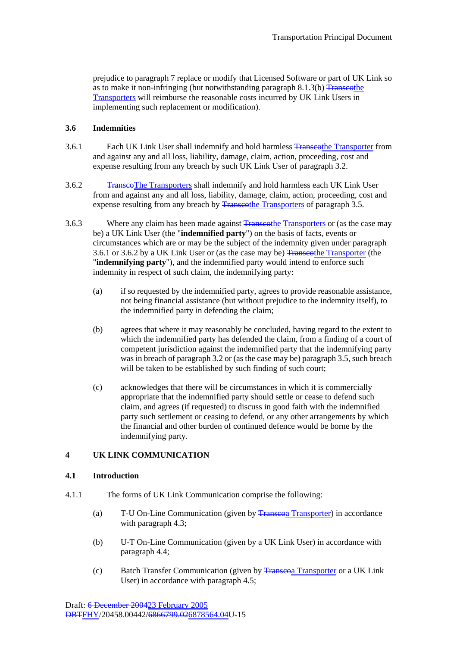prejudice to paragraph 7 replace or modify that Licensed Software or part of UK Link so as to make it non-infringing (but notwithstanding paragraph  $8.1.3(b)$  Transcothe Transporters will reimburse the reasonable costs incurred by UK Link Users in implementing such replacement or modification).

### **3.6 Indemnities**

- 3.6.1 Each UK Link User shall indemnify and hold harmless Transporter from Each UK Link User shall indemnify and hold harmless Transporter from and against any and all loss, liability, damage, claim, action, proceeding, cost and expense resulting from any breach by such UK Link User of paragraph 3.2.
- 3.6.2 TranscoThe Transporters shall indemnify and hold harmless each UK Link User from and against any and all loss, liability, damage, claim, action, proceeding, cost and expense resulting from any breach by Transcothe Transporters of paragraph 3.5.
- 3.6.3 Where any claim has been made against Transporters or (as the case may be) a UK Link User (the "**indemnified party**") on the basis of facts, events or circumstances which are or may be the subject of the indemnity given under paragraph 3.6.1 or 3.6.2 by a UK Link User or (as the case may be) Transcothe Transporter (the "**indemnifying party**"), and the indemnified party would intend to enforce such indemnity in respect of such claim, the indemnifying party:
	- (a) if so requested by the indemnified party, agrees to provide reasonable assistance, not being financial assistance (but without prejudice to the indemnity itself), to the indemnified party in defending the claim;
	- (b) agrees that where it may reasonably be concluded, having regard to the extent to which the indemnified party has defended the claim, from a finding of a court of competent jurisdiction against the indemnified party that the indemnifying party was in breach of paragraph 3.2 or (as the case may be) paragraph 3.5, such breach will be taken to be established by such finding of such court;
	- (c) acknowledges that there will be circumstances in which it is commercially appropriate that the indemnified party should settle or cease to defend such claim, and agrees (if requested) to discuss in good faith with the indemnified party such settlement or ceasing to defend, or any other arrangements by which the financial and other burden of continued defence would be borne by the indemnifying party.

## **4 UK LINK COMMUNICATION**

## **4.1 Introduction**

- 4.1.1 The forms of UK Link Communication comprise the following:
	- (a) T-U On-Line Communication (given by Transporter) in accordance with paragraph 4.3;
	- (b) U-T On-Line Communication (given by a UK Link User) in accordance with paragraph 4.4;
	- (c) Batch Transfer Communication (given by Transporter or a UK Link User) in accordance with paragraph 4.5;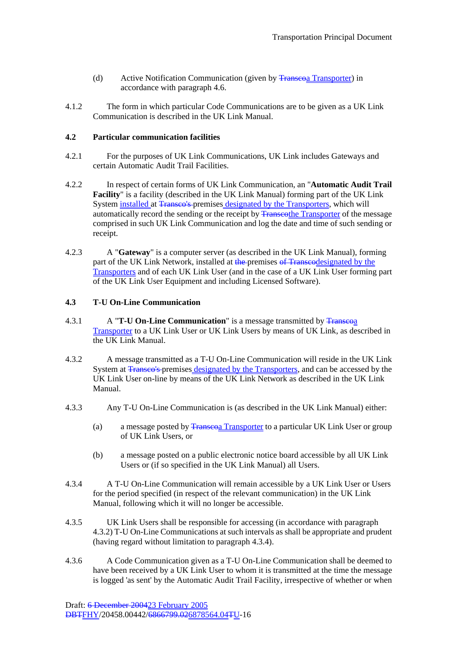- (d) Active Notification Communication (given by Transcoa Transporter) in accordance with paragraph 4.6.
- 4.1.2 The form in which particular Code Communications are to be given as a UK Link Communication is described in the UK Link Manual.

### **4.2 Particular communication facilities**

- 4.2.1 For the purposes of UK Link Communications, UK Link includes Gateways and certain Automatic Audit Trail Facilities.
- 4.2.2 In respect of certain forms of UK Link Communication, an "**Automatic Audit Trail Facility**" is a facility (described in the UK Link Manual) forming part of the UK Link System installed at Transco's premises designated by the Transporters, which will automatically record the sending or the receipt by **Transcothe Transporter** of the message comprised in such UK Link Communication and log the date and time of such sending or receipt.
- 4.2.3 A "**Gateway**" is a computer server (as described in the UK Link Manual), forming part of the UK Link Network, installed at the premises of Transcodesignated by the Transporters and of each UK Link User (and in the case of a UK Link User forming part of the UK Link User Equipment and including Licensed Software).

## **4.3 T-U On-Line Communication**

- 4.3.1 **A T-U On-Line Communication** is a message transmitted by Transcoa Transporter to a UK Link User or UK Link Users by means of UK Link, as described in the UK Link Manual.
- 4.3.2 A message transmitted as a T-U On-Line Communication will reside in the UK Link System at Transco's premises designated by the Transporters, and can be accessed by the UK Link User on-line by means of the UK Link Network as described in the UK Link Manual.
- 4.3.3 Any T-U On-Line Communication is (as described in the UK Link Manual) either:
	- (a) a message posted by Transporter to a particular UK Link User or group of UK Link Users, or
	- (b) a message posted on a public electronic notice board accessible by all UK Link Users or (if so specified in the UK Link Manual) all Users.
- 4.3.4 A T-U On-Line Communication will remain accessible by a UK Link User or Users for the period specified (in respect of the relevant communication) in the UK Link Manual, following which it will no longer be accessible.
- 4.3.5 UK Link Users shall be responsible for accessing (in accordance with paragraph 4.3.2) T-U On-Line Communications at such intervals as shall be appropriate and prudent (having regard without limitation to paragraph 4.3.4).
- 4.3.6 A Code Communication given as a T-U On-Line Communication shall be deemed to have been received by a UK Link User to whom it is transmitted at the time the message is logged 'as sent' by the Automatic Audit Trail Facility, irrespective of whether or when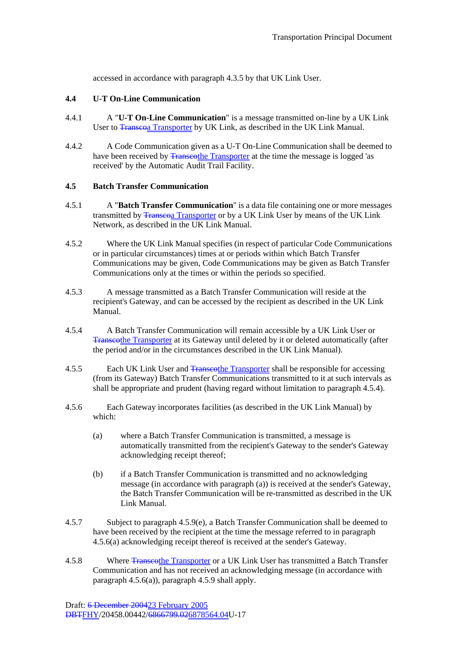accessed in accordance with paragraph 4.3.5 by that UK Link User.

## **4.4 U-T On-Line Communication**

- 4.4.1 A "**U-T On-Line Communication**" is a message transmitted on-line by a UK Link User to **Transcoa Transporter** by UK Link, as described in the UK Link Manual.
- 4.4.2 A Code Communication given as a U-T On-Line Communication shall be deemed to have been received by **Transcothe Transporter** at the time the message is logged 'as received' by the Automatic Audit Trail Facility.

### **4.5 Batch Transfer Communication**

- 4.5.1 A "**Batch Transfer Communication**" is a data file containing one or more messages transmitted by **Transcoa** Transporter or by a UK Link User by means of the UK Link Network, as described in the UK Link Manual.
- 4.5.2 Where the UK Link Manual specifies (in respect of particular Code Communications or in particular circumstances) times at or periods within which Batch Transfer Communications may be given, Code Communications may be given as Batch Transfer Communications only at the times or within the periods so specified.
- 4.5.3 A message transmitted as a Batch Transfer Communication will reside at the recipient's Gateway, and can be accessed by the recipient as described in the UK Link Manual.
- 4.5.4 A Batch Transfer Communication will remain accessible by a UK Link User or Transcothe Transporter at its Gateway until deleted by it or deleted automatically (after the period and/or in the circumstances described in the UK Link Manual).
- 4.5.5 Each UK Link User and Transporter shall be responsible for accessing (from its Gateway) Batch Transfer Communications transmitted to it at such intervals as shall be appropriate and prudent (having regard without limitation to paragraph 4.5.4).
- 4.5.6 Each Gateway incorporates facilities (as described in the UK Link Manual) by which:
	- (a) where a Batch Transfer Communication is transmitted, a message is automatically transmitted from the recipient's Gateway to the sender's Gateway acknowledging receipt thereof;
	- (b) if a Batch Transfer Communication is transmitted and no acknowledging message (in accordance with paragraph (a)) is received at the sender's Gateway, the Batch Transfer Communication will be re-transmitted as described in the UK Link Manual.
- 4.5.7 Subject to paragraph 4.5.9(e), a Batch Transfer Communication shall be deemed to have been received by the recipient at the time the message referred to in paragraph 4.5.6(a) acknowledging receipt thereof is received at the sender's Gateway.
- 4.5.8 Where Transcothe Transporter or a UK Link User has transmitted a Batch Transfer Communication and has not received an acknowledging message (in accordance with paragraph 4.5.6(a)), paragraph 4.5.9 shall apply.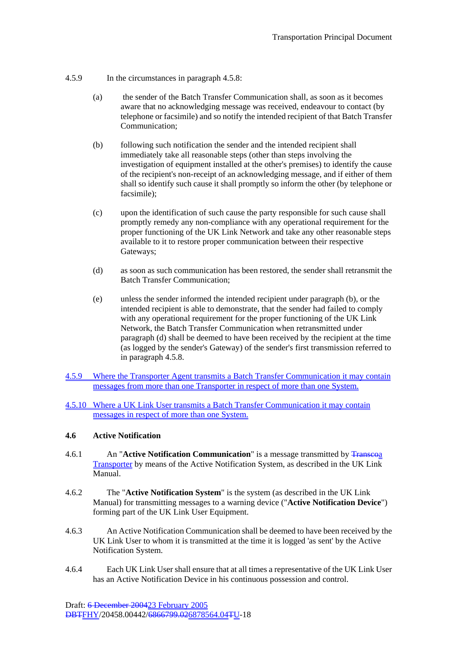- 4.5.9 In the circumstances in paragraph 4.5.8:
	- (a) the sender of the Batch Transfer Communication shall, as soon as it becomes aware that no acknowledging message was received, endeavour to contact (by telephone or facsimile) and so notify the intended recipient of that Batch Transfer Communication;
	- (b) following such notification the sender and the intended recipient shall immediately take all reasonable steps (other than steps involving the investigation of equipment installed at the other's premises) to identify the cause of the recipient's non-receipt of an acknowledging message, and if either of them shall so identify such cause it shall promptly so inform the other (by telephone or facsimile);
	- (c) upon the identification of such cause the party responsible for such cause shall promptly remedy any non-compliance with any operational requirement for the proper functioning of the UK Link Network and take any other reasonable steps available to it to restore proper communication between their respective Gateways;
	- (d) as soon as such communication has been restored, the sender shall retransmit the Batch Transfer Communication;
	- (e) unless the sender informed the intended recipient under paragraph (b), or the intended recipient is able to demonstrate, that the sender had failed to comply with any operational requirement for the proper functioning of the UK Link Network, the Batch Transfer Communication when retransmitted under paragraph (d) shall be deemed to have been received by the recipient at the time (as logged by the sender's Gateway) of the sender's first transmission referred to in paragraph 4.5.8.
- 4.5.9 Where the Transporter Agent transmits a Batch Transfer Communication it may contain messages from more than one Transporter in respect of more than one System.
- 4.5.10 Where a UK Link User transmits a Batch Transfer Communication it may contain messages in respect of more than one System.

#### **4.6 Active Notification**

- 4.6.1 An "**Active Notification Communication**" is a message transmitted by Transcoa Transporter by means of the Active Notification System, as described in the UK Link Manual.
- 4.6.2 The "**Active Notification System**" is the system (as described in the UK Link Manual) for transmitting messages to a warning device ("**Active Notification Device**") forming part of the UK Link User Equipment.
- 4.6.3 An Active Notification Communication shall be deemed to have been received by the UK Link User to whom it is transmitted at the time it is logged 'as sent' by the Active Notification System.
- 4.6.4 Each UK Link User shall ensure that at all times a representative of the UK Link User has an Active Notification Device in his continuous possession and control.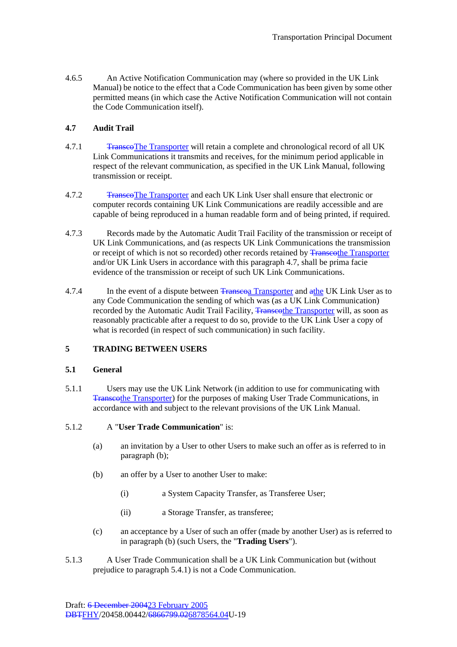4.6.5 An Active Notification Communication may (where so provided in the UK Link Manual) be notice to the effect that a Code Communication has been given by some other permitted means (in which case the Active Notification Communication will not contain the Code Communication itself).

## **4.7 Audit Trail**

- 4.7.1 Transco The Transporter will retain a complete and chronological record of all UK Link Communications it transmits and receives, for the minimum period applicable in respect of the relevant communication, as specified in the UK Link Manual, following transmission or receipt.
- 4.7.2 TranscoThe Transporter and each UK Link User shall ensure that electronic or computer records containing UK Link Communications are readily accessible and are capable of being reproduced in a human readable form and of being printed, if required.
- 4.7.3 Records made by the Automatic Audit Trail Facility of the transmission or receipt of UK Link Communications, and (as respects UK Link Communications the transmission or receipt of which is not so recorded) other records retained by Transporter Transporter and/or UK Link Users in accordance with this paragraph 4.7, shall be prima facie evidence of the transmission or receipt of such UK Link Communications.
- 4.7.4 In the event of a dispute between Transporter and a the UK Link User as to any Code Communication the sending of which was (as a UK Link Communication) recorded by the Automatic Audit Trail Facility, Transcothe Transporter will, as soon as reasonably practicable after a request to do so, provide to the UK Link User a copy of what is recorded (in respect of such communication) in such facility.

# **5 TRADING BETWEEN USERS**

#### **5.1 General**

5.1.1 Users may use the UK Link Network (in addition to use for communicating with Transcothe Transporter) for the purposes of making User Trade Communications, in accordance with and subject to the relevant provisions of the UK Link Manual.

#### 5.1.2 A "**User Trade Communication**" is:

- (a) an invitation by a User to other Users to make such an offer as is referred to in paragraph (b);
- (b) an offer by a User to another User to make:
	- (i) a System Capacity Transfer, as Transferee User;
	- (ii) a Storage Transfer, as transferee;
- (c) an acceptance by a User of such an offer (made by another User) as is referred to in paragraph (b) (such Users, the "**Trading Users**").
- 5.1.3 A User Trade Communication shall be a UK Link Communication but (without prejudice to paragraph 5.4.1) is not a Code Communication.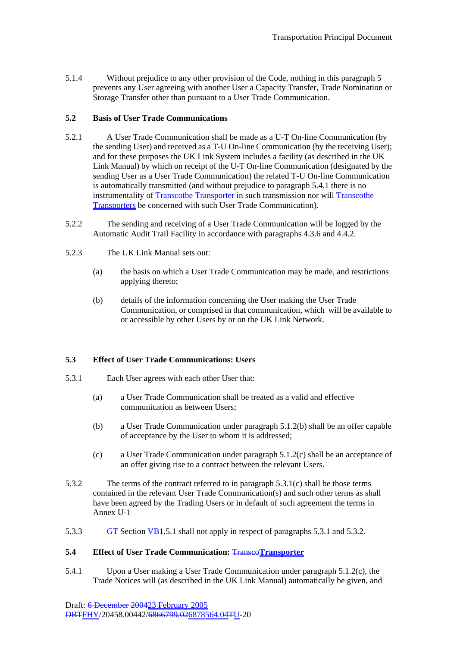5.1.4 Without prejudice to any other provision of the Code, nothing in this paragraph 5 prevents any User agreeing with another User a Capacity Transfer, Trade Nomination or Storage Transfer other than pursuant to a User Trade Communication.

### **5.2 Basis of User Trade Communications**

- 5.2.1 A User Trade Communication shall be made as a U-T On-line Communication (by the sending User) and received as a T-U On-line Communication (by the receiving User); and for these purposes the UK Link System includes a facility (as described in the UK Link Manual) by which on receipt of the U-T On-line Communication (designated by the sending User as a User Trade Communication) the related T-U On-line Communication is automatically transmitted (and without prejudice to paragraph 5.4.1 there is no instrumentality of Transcothe Transporter in such transmission nor will Transcothe Transporters be concerned with such User Trade Communication).
- 5.2.2 The sending and receiving of a User Trade Communication will be logged by the Automatic Audit Trail Facility in accordance with paragraphs 4.3.6 and 4.4.2.
- 5.2.3 The UK Link Manual sets out:
	- (a) the basis on which a User Trade Communication may be made, and restrictions applying thereto;
	- (b) details of the information concerning the User making the User Trade Communication, or comprised in that communication, which will be available to or accessible by other Users by or on the UK Link Network.

#### **5.3 Effect of User Trade Communications: Users**

- 5.3.1 Each User agrees with each other User that:
	- (a) a User Trade Communication shall be treated as a valid and effective communication as between Users;
	- (b) a User Trade Communication under paragraph 5.1.2(b) shall be an offer capable of acceptance by the User to whom it is addressed;
	- (c) a User Trade Communication under paragraph 5.1.2(c) shall be an acceptance of an offer giving rise to a contract between the relevant Users.
- 5.3.2 The terms of the contract referred to in paragraph 5.3.1(c) shall be those terms contained in the relevant User Trade Communication(s) and such other terms as shall have been agreed by the Trading Users or in default of such agreement the terms in Annex U-1
- 5.3.3 GT Section  $\frac{1}{2}$  GT Section  $\frac{1}{2}$  shall not apply in respect of paragraphs 5.3.1 and 5.3.2.

#### **5.4 Effect of User Trade Communication:** Transco**Transporter**

5.4.1 Upon a User making a User Trade Communication under paragraph 5.1.2(c), the Trade Notices will (as described in the UK Link Manual) automatically be given, and

Draft: 6 December 200423 February 2005 DBTFHY/20458.00442/6866799.026878564.04TU-20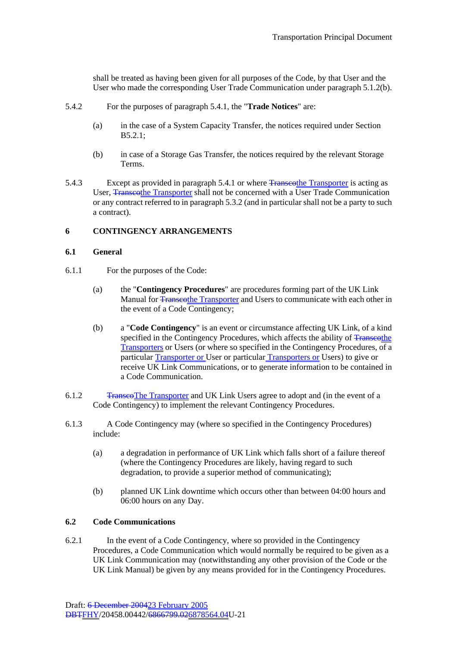shall be treated as having been given for all purposes of the Code, by that User and the User who made the corresponding User Trade Communication under paragraph 5.1.2(b).

- 5.4.2 For the purposes of paragraph 5.4.1, the "**Trade Notices**" are:
	- (a) in the case of a System Capacity Transfer, the notices required under Section B5.2.1;
	- (b) in case of a Storage Gas Transfer, the notices required by the relevant Storage Terms.
- 5.4.3 Except as provided in paragraph 5.4.1 or where Transporter is acting as User, Transcothe Transporter shall not be concerned with a User Trade Communication or any contract referred to in paragraph 5.3.2 (and in particular shall not be a party to such a contract).

### **6 CONTINGENCY ARRANGEMENTS**

#### **6.1 General**

- 6.1.1 For the purposes of the Code:
	- (a) the "**Contingency Procedures**" are procedures forming part of the UK Link Manual for Transcothe Transporter and Users to communicate with each other in the event of a Code Contingency;
	- (b) a "**Code Contingency**" is an event or circumstance affecting UK Link, of a kind specified in the Contingency Procedures, which affects the ability of Transcothe Transporters or Users (or where so specified in the Contingency Procedures, of a particular Transporter or User or particular Transporters or Users) to give or receive UK Link Communications, or to generate information to be contained in a Code Communication.
- 6.1.2 TranscoThe Transporter and UK Link Users agree to adopt and (in the event of a Code Contingency) to implement the relevant Contingency Procedures.
- 6.1.3 A Code Contingency may (where so specified in the Contingency Procedures) include:
	- (a) a degradation in performance of UK Link which falls short of a failure thereof (where the Contingency Procedures are likely, having regard to such degradation, to provide a superior method of communicating);
	- (b) planned UK Link downtime which occurs other than between 04:00 hours and 06:00 hours on any Day.

### **6.2 Code Communications**

6.2.1 In the event of a Code Contingency, where so provided in the Contingency Procedures, a Code Communication which would normally be required to be given as a UK Link Communication may (notwithstanding any other provision of the Code or the UK Link Manual) be given by any means provided for in the Contingency Procedures.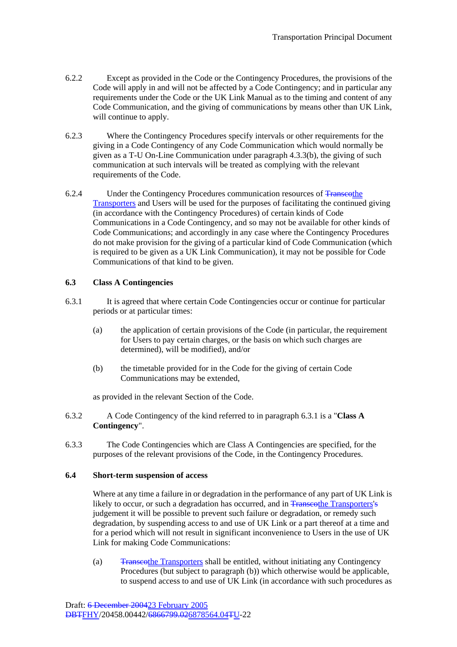- 6.2.2 Except as provided in the Code or the Contingency Procedures, the provisions of the Code will apply in and will not be affected by a Code Contingency; and in particular any requirements under the Code or the UK Link Manual as to the timing and content of any Code Communication, and the giving of communications by means other than UK Link, will continue to apply.
- 6.2.3 Where the Contingency Procedures specify intervals or other requirements for the giving in a Code Contingency of any Code Communication which would normally be given as a T-U On-Line Communication under paragraph 4.3.3(b), the giving of such communication at such intervals will be treated as complying with the relevant requirements of the Code.
- 6.2.4 Under the Contingency Procedures communication resources of Transcothe Transporters and Users will be used for the purposes of facilitating the continued giving (in accordance with the Contingency Procedures) of certain kinds of Code Communications in a Code Contingency, and so may not be available for other kinds of Code Communications; and accordingly in any case where the Contingency Procedures do not make provision for the giving of a particular kind of Code Communication (which is required to be given as a UK Link Communication), it may not be possible for Code Communications of that kind to be given.

### **6.3 Class A Contingencies**

- 6.3.1 It is agreed that where certain Code Contingencies occur or continue for particular periods or at particular times:
	- (a) the application of certain provisions of the Code (in particular, the requirement for Users to pay certain charges, or the basis on which such charges are determined), will be modified), and/or
	- (b) the timetable provided for in the Code for the giving of certain Code Communications may be extended,

as provided in the relevant Section of the Code.

- 6.3.2 A Code Contingency of the kind referred to in paragraph 6.3.1 is a "**Class A Contingency**".
- 6.3.3 The Code Contingencies which are Class A Contingencies are specified, for the purposes of the relevant provisions of the Code, in the Contingency Procedures.

#### **6.4 Short-term suspension of access**

Where at any time a failure in or degradation in the performance of any part of UK Link is likely to occur, or such a degradation has occurred, and in Transcothe Transporters's judgement it will be possible to prevent such failure or degradation, or remedy such degradation, by suspending access to and use of UK Link or a part thereof at a time and for a period which will not result in significant inconvenience to Users in the use of UK Link for making Code Communications:

(a) Transcothe Transporters shall be entitled, without initiating any Contingency Procedures (but subject to paragraph (b)) which otherwise would be applicable, to suspend access to and use of UK Link (in accordance with such procedures as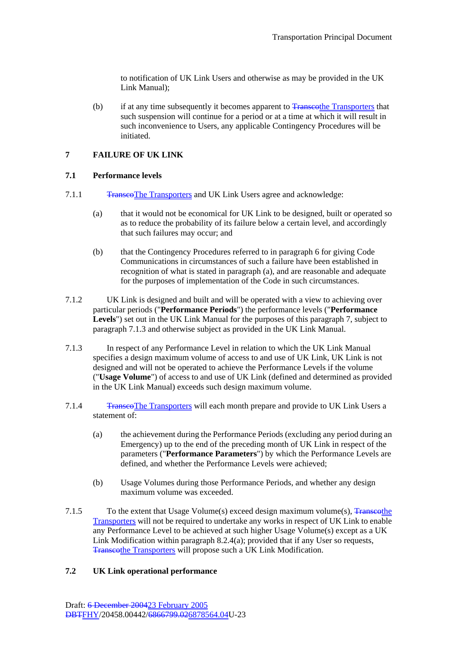to notification of UK Link Users and otherwise as may be provided in the UK Link Manual);

(b) if at any time subsequently it becomes apparent to Transporters that that if at any time subsequently it becomes apparent to Transporters that such suspension will continue for a period or at a time at which it will result in such inconvenience to Users, any applicable Contingency Procedures will be initiated.

## **7 FAILURE OF UK LINK**

#### **7.1 Performance levels**

- 7.1.1 Transet The Transporters and UK Link Users agree and acknowledge:
	- (a) that it would not be economical for UK Link to be designed, built or operated so as to reduce the probability of its failure below a certain level, and accordingly that such failures may occur; and
	- (b) that the Contingency Procedures referred to in paragraph 6 for giving Code Communications in circumstances of such a failure have been established in recognition of what is stated in paragraph (a), and are reasonable and adequate for the purposes of implementation of the Code in such circumstances.
- 7.1.2 UK Link is designed and built and will be operated with a view to achieving over particular periods ("**Performance Periods**") the performance levels ("**Performance Levels**") set out in the UK Link Manual for the purposes of this paragraph 7, subject to paragraph 7.1.3 and otherwise subject as provided in the UK Link Manual.
- 7.1.3 In respect of any Performance Level in relation to which the UK Link Manual specifies a design maximum volume of access to and use of UK Link, UK Link is not designed and will not be operated to achieve the Performance Levels if the volume ("**Usage Volume**") of access to and use of UK Link (defined and determined as provided in the UK Link Manual) exceeds such design maximum volume.
- 7.1.4 Transcotres will each month prepare and provide to UK Link Users a statement of:
	- (a) the achievement during the Performance Periods (excluding any period during an Emergency) up to the end of the preceding month of UK Link in respect of the parameters ("**Performance Parameters**") by which the Performance Levels are defined, and whether the Performance Levels were achieved;
	- (b) Usage Volumes during those Performance Periods, and whether any design maximum volume was exceeded.
- 7.1.5 To the extent that Usage Volume(s) exceed design maximum volume(s),  $\frac{1}{2}$  Transcothe Transporters will not be required to undertake any works in respect of UK Link to enable any Performance Level to be achieved at such higher Usage Volume(s) except as a UK Link Modification within paragraph 8.2.4(a); provided that if any User so requests, Transcothe Transporters will propose such a UK Link Modification.

#### **7.2 UK Link operational performance**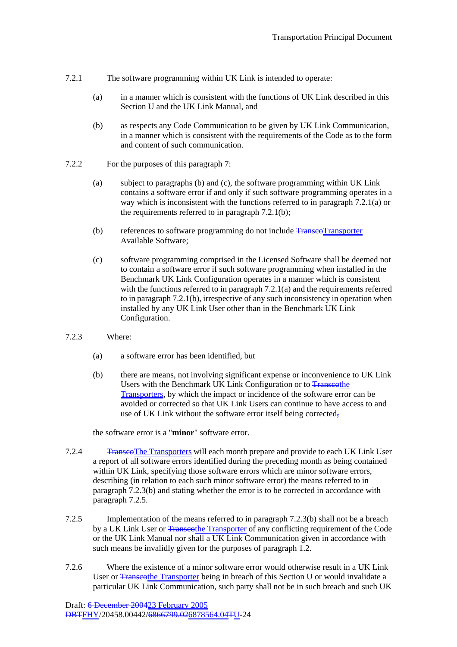- 7.2.1 The software programming within UK Link is intended to operate:
	- (a) in a manner which is consistent with the functions of UK Link described in this Section U and the UK Link Manual, and
	- (b) as respects any Code Communication to be given by UK Link Communication, in a manner which is consistent with the requirements of the Code as to the form and content of such communication.
- 7.2.2 For the purposes of this paragraph 7:
	- (a) subject to paragraphs (b) and (c), the software programming within UK Link contains a software error if and only if such software programming operates in a way which is inconsistent with the functions referred to in paragraph 7.2.1(a) or the requirements referred to in paragraph 7.2.1(b);
	- (b) references to software programming do not include TranscoTransporter Available Software;
	- (c) software programming comprised in the Licensed Software shall be deemed not to contain a software error if such software programming when installed in the Benchmark UK Link Configuration operates in a manner which is consistent with the functions referred to in paragraph  $7.2.1(a)$  and the requirements referred to in paragraph 7.2.1(b), irrespective of any such inconsistency in operation when installed by any UK Link User other than in the Benchmark UK Link Configuration.
- 7.2.3 Where:
	- (a) a software error has been identified, but
	- (b) there are means, not involving significant expense or inconvenience to UK Link Users with the Benchmark UK Link Configuration or to Transcothe Transporters, by which the impact or incidence of the software error can be avoided or corrected so that UK Link Users can continue to have access to and use of UK Link without the software error itself being corrected,

the software error is a "**minor**" software error.

- 7.2.4 Transeo The Transporters will each month prepare and provide to each UK Link User a report of all software errors identified during the preceding month as being contained within UK Link, specifying those software errors which are minor software errors, describing (in relation to each such minor software error) the means referred to in paragraph 7.2.3(b) and stating whether the error is to be corrected in accordance with paragraph 7.2.5.
- 7.2.5 Implementation of the means referred to in paragraph 7.2.3(b) shall not be a breach by a UK Link User or Transcothe Transporter of any conflicting requirement of the Code or the UK Link Manual nor shall a UK Link Communication given in accordance with such means be invalidly given for the purposes of paragraph 1.2.
- 7.2.6 Where the existence of a minor software error would otherwise result in a UK Link User or Transcothe Transporter being in breach of this Section U or would invalidate a particular UK Link Communication, such party shall not be in such breach and such UK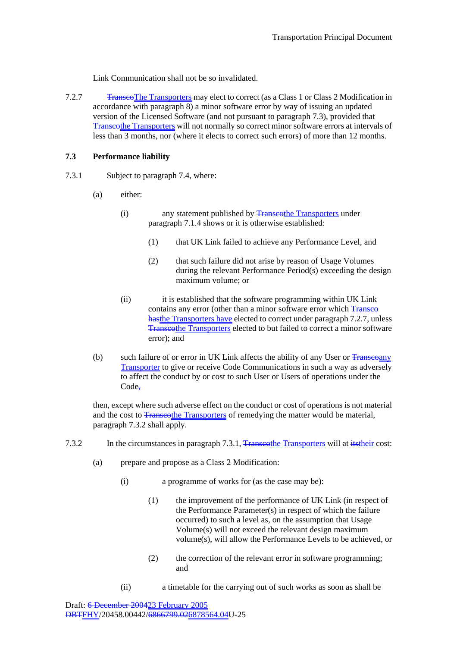Link Communication shall not be so invalidated.

7.2.7 Transco The Transporters may elect to correct (as a Class 1 or Class 2 Modification in accordance with paragraph 8) a minor software error by way of issuing an updated version of the Licensed Software (and not pursuant to paragraph 7.3), provided that Transcothe Transporters will not normally so correct minor software errors at intervals of less than 3 months, nor (where it elects to correct such errors) of more than 12 months.

### **7.3 Performance liability**

- 7.3.1 Subject to paragraph 7.4, where:
	- (a) either:
		- (i) any statement published by Transporters under any statement published by Transporters under paragraph 7.1.4 shows or it is otherwise established:
			- (1) that UK Link failed to achieve any Performance Level, and
			- (2) that such failure did not arise by reason of Usage Volumes during the relevant Performance Period(s) exceeding the design maximum volume; or
		- (ii) it is established that the software programming within UK Link contains any error (other than a minor software error which Transeo hasthe Transporters have elected to correct under paragraph 7.2.7, unless Transcothe Transporters elected to but failed to correct a minor software error); and
	- (b) such failure of or error in UK Link affects the ability of any User or Transcoany Transporter to give or receive Code Communications in such a way as adversely to affect the conduct by or cost to such User or Users of operations under the Code-

then, except where such adverse effect on the conduct or cost of operations is not material and the cost to Transporters of remedying the matter would be material, paragraph 7.3.2 shall apply.

- 7.3.2 In the circumstances in paragraph 7.3.1, Transcothe Transporters will at its their cost:
	- (a) prepare and propose as a Class 2 Modification:
		- (i) a programme of works for (as the case may be):
			- (1) the improvement of the performance of UK Link (in respect of the Performance Parameter(s) in respect of which the failure occurred) to such a level as, on the assumption that Usage Volume(s) will not exceed the relevant design maximum volume(s), will allow the Performance Levels to be achieved, or
			- (2) the correction of the relevant error in software programming; and
		- (ii) a timetable for the carrying out of such works as soon as shall be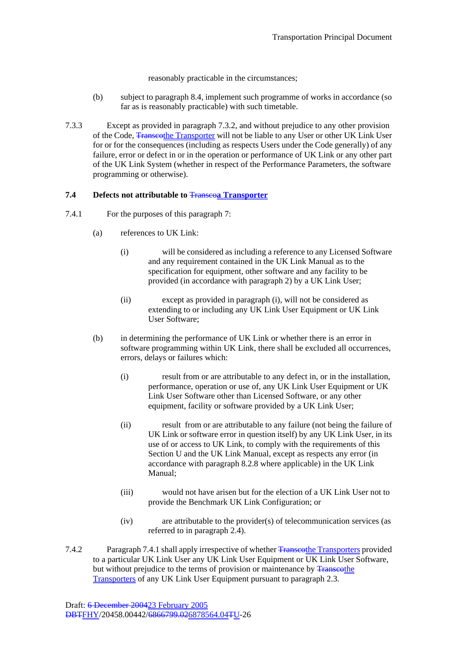reasonably practicable in the circumstances;

- (b) subject to paragraph 8.4, implement such programme of works in accordance (so far as is reasonably practicable) with such timetable.
- 7.3.3 Except as provided in paragraph 7.3.2, and without prejudice to any other provision of the Code, Transcothe Transporter will not be liable to any User or other UK Link User for or for the consequences (including as respects Users under the Code generally) of any failure, error or defect in or in the operation or performance of UK Link or any other part of the UK Link System (whether in respect of the Performance Parameters, the software programming or otherwise).

#### **7.4 Defects not attributable to** Transco**a Transporter**

- 7.4.1 For the purposes of this paragraph 7:
	- (a) references to UK Link:
		- (i) will be considered as including a reference to any Licensed Software and any requirement contained in the UK Link Manual as to the specification for equipment, other software and any facility to be provided (in accordance with paragraph 2) by a UK Link User;
		- (ii) except as provided in paragraph (i), will not be considered as extending to or including any UK Link User Equipment or UK Link User Software;
	- (b) in determining the performance of UK Link or whether there is an error in software programming within UK Link, there shall be excluded all occurrences, errors, delays or failures which:
		- (i) result from or are attributable to any defect in, or in the installation, performance, operation or use of, any UK Link User Equipment or UK Link User Software other than Licensed Software, or any other equipment, facility or software provided by a UK Link User;
		- (ii) result from or are attributable to any failure (not being the failure of UK Link or software error in question itself) by any UK Link User, in its use of or access to UK Link, to comply with the requirements of this Section U and the UK Link Manual, except as respects any error (in accordance with paragraph 8.2.8 where applicable) in the UK Link Manual;
		- (iii) would not have arisen but for the election of a UK Link User not to provide the Benchmark UK Link Configuration; or
		- (iv) are attributable to the provider(s) of telecommunication services (as referred to in paragraph 2.4).
- 7.4.2 Paragraph 7.4.1 shall apply irrespective of whether Transcothe Transporters provided to a particular UK Link User any UK Link User Equipment or UK Link User Software, but without prejudice to the terms of provision or maintenance by Franscothe Transporters of any UK Link User Equipment pursuant to paragraph 2.3.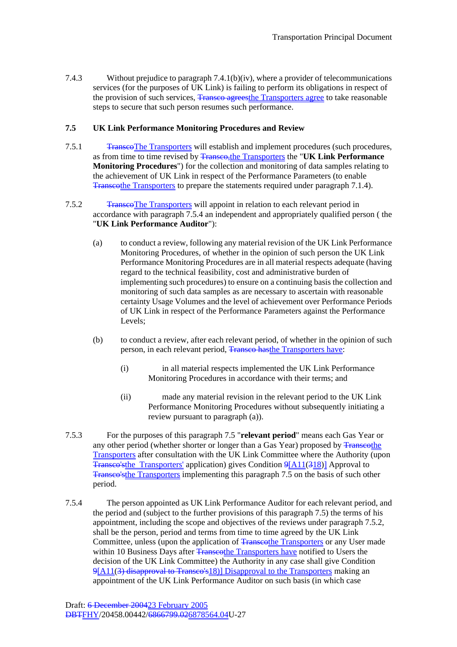7.4.3 Without prejudice to paragraph 7.4.1(b)(iv), where a provider of telecommunications services (for the purposes of UK Link) is failing to perform its obligations in respect of the provision of such services, Transco agrees the Transporters agree to take reasonable steps to secure that such person resumes such performance.

### **7.5 UK Link Performance Monitoring Procedures and Review**

- 7.5.1 Transco The Transporters will establish and implement procedures (such procedures, as from time to time revised by Transco,the Transporters the "**UK Link Performance Monitoring Procedures**") for the collection and monitoring of data samples relating to the achievement of UK Link in respect of the Performance Parameters (to enable Transcothe Transporters to prepare the statements required under paragraph 7.1.4).
- 7.5.2 TranscoThe Transporters will appoint in relation to each relevant period in accordance with paragraph 7.5.4 an independent and appropriately qualified person ( the "**UK Link Performance Auditor**"):
	- (a) to conduct a review, following any material revision of the UK Link Performance Monitoring Procedures, of whether in the opinion of such person the UK Link Performance Monitoring Procedures are in all material respects adequate (having regard to the technical feasibility, cost and administrative burden of implementing such procedures) to ensure on a continuing basis the collection and monitoring of such data samples as are necessary to ascertain with reasonable certainty Usage Volumes and the level of achievement over Performance Periods of UK Link in respect of the Performance Parameters against the Performance Levels;
	- (b) to conduct a review, after each relevant period, of whether in the opinion of such person, in each relevant period. Transco hasthe Transporters have:
		- (i) in all material respects implemented the UK Link Performance Monitoring Procedures in accordance with their terms; and
		- (ii) made any material revision in the relevant period to the UK Link Performance Monitoring Procedures without subsequently initiating a review pursuant to paragraph (a)).
- 7.5.3 For the purposes of this paragraph 7.5 "**relevant period**" means each Gas Year or any other period (whether shorter or longer than a Gas Year) proposed by Transcothe Transporters after consultation with the UK Link Committee where the Authority (upon Transco'sthe Transporters' application) gives Condition 9[A11(318)] Approval to Transco'sthe Transporters implementing this paragraph 7.5 on the basis of such other period.
- 7.5.4 The person appointed as UK Link Performance Auditor for each relevant period, and the period and (subject to the further provisions of this paragraph 7.5) the terms of his appointment, including the scope and objectives of the reviews under paragraph 7.5.2, shall be the person, period and terms from time to time agreed by the UK Link Committee, unless (upon the application of Transporters or any User made within 10 Business Days after Transporters have notified to Users the decision of the UK Link Committee) the Authority in any case shall give Condition 9[A11(3) disapproval to Transco's18)] Disapproval to the Transporters making an appointment of the UK Link Performance Auditor on such basis (in which case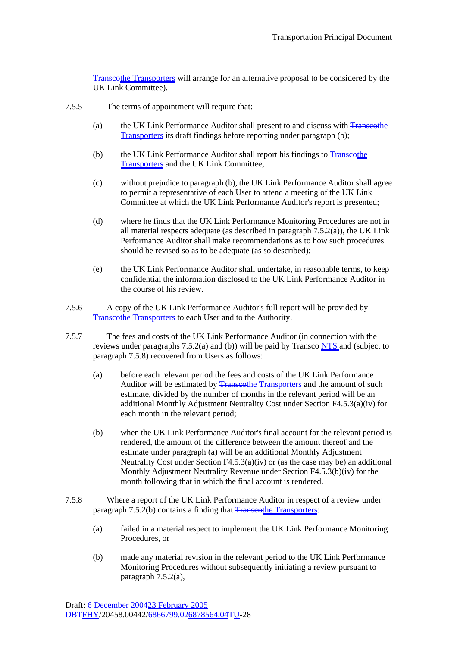Transcothe Transporters will arrange for an alternative proposal to be considered by the UK Link Committee).

- 7.5.5 The terms of appointment will require that:
	- (a) the UK Link Performance Auditor shall present to and discuss with Transcothe Transporters its draft findings before reporting under paragraph (b);
	- (b) the UK Link Performance Auditor shall report his findings to  $\frac{1}{8}$  Transcothe Transporters and the UK Link Committee;
	- (c) without prejudice to paragraph (b), the UK Link Performance Auditor shall agree to permit a representative of each User to attend a meeting of the UK Link Committee at which the UK Link Performance Auditor's report is presented;
	- (d) where he finds that the UK Link Performance Monitoring Procedures are not in all material respects adequate (as described in paragraph 7.5.2(a)), the UK Link Performance Auditor shall make recommendations as to how such procedures should be revised so as to be adequate (as so described);
	- (e) the UK Link Performance Auditor shall undertake, in reasonable terms, to keep confidential the information disclosed to the UK Link Performance Auditor in the course of his review.
- 7.5.6 A copy of the UK Link Performance Auditor's full report will be provided by Transcothe Transporters to each User and to the Authority.
- 7.5.7 The fees and costs of the UK Link Performance Auditor (in connection with the reviews under paragraphs  $7.5.2(a)$  and (b)) will be paid by Transco  $NTS$  and (subject to paragraph 7.5.8) recovered from Users as follows:
	- (a) before each relevant period the fees and costs of the UK Link Performance Auditor will be estimated by Transcothe Transporters and the amount of such estimate, divided by the number of months in the relevant period will be an additional Monthly Adjustment Neutrality Cost under Section F4.5.3(a)(iv) for each month in the relevant period;
	- (b) when the UK Link Performance Auditor's final account for the relevant period is rendered, the amount of the difference between the amount thereof and the estimate under paragraph (a) will be an additional Monthly Adjustment Neutrality Cost under Section F4.5.3(a)(iv) or (as the case may be) an additional Monthly Adjustment Neutrality Revenue under Section F4.5.3(b)(iv) for the month following that in which the final account is rendered.
- 7.5.8 Where a report of the UK Link Performance Auditor in respect of a review under paragraph 7.5.2(b) contains a finding that Transporters.
	- (a) failed in a material respect to implement the UK Link Performance Monitoring Procedures, or
	- (b) made any material revision in the relevant period to the UK Link Performance Monitoring Procedures without subsequently initiating a review pursuant to paragraph 7.5.2(a),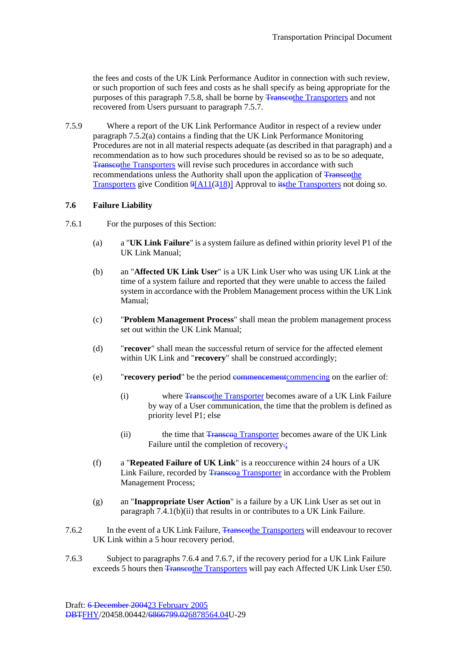the fees and costs of the UK Link Performance Auditor in connection with such review, or such proportion of such fees and costs as he shall specify as being appropriate for the purposes of this paragraph 7.5.8, shall be borne by <del>Transcot</del>he Transporters and not recovered from Users pursuant to paragraph 7.5.7.

7.5.9 Where a report of the UK Link Performance Auditor in respect of a review under paragraph 7.5.2(a) contains a finding that the UK Link Performance Monitoring Procedures are not in all material respects adequate (as described in that paragraph) and a recommendation as to how such procedures should be revised so as to be so adequate, Transcothe Transporters will revise such procedures in accordance with such recommendations unless the Authority shall upon the application of Transcothe Transporters give Condition 9[A11(318)] Approval to its the Transporters not doing so.

### **7.6 Failure Liability**

- 7.6.1 For the purposes of this Section:
	- (a) a "**UK Link Failure**" is a system failure as defined within priority level P1 of the UK Link Manual;
	- (b) an "**Affected UK Link User**" is a UK Link User who was using UK Link at the time of a system failure and reported that they were unable to access the failed system in accordance with the Problem Management process within the UK Link Manual;
	- (c) "**Problem Management Process**" shall mean the problem management process set out within the UK Link Manual;
	- (d) "**recover**" shall mean the successful return of service for the affected element within UK Link and "**recovery**" shall be construed accordingly;
	- (e) "**recovery period**" be the period commencementcommencing on the earlier of:
		- (i) where Transcothe Transporter becomes aware of a UK Link Failure by way of a User communication, the time that the problem is defined as priority level P1; else
		- (ii) the time that Transcoa Transporter becomes aware of the UK Link Failure until the completion of recovery.
	- (f) a "**Repeated Failure of UK Link**" is a reoccurence within 24 hours of a UK Link Failure, recorded by Transcoa Transporter in accordance with the Problem Management Process;
	- (g) an "**Inappropriate User Action**" is a failure by a UK Link User as set out in paragraph 7.4.1(b)(ii) that results in or contributes to a UK Link Failure.
- 7.6.2 In the event of a UK Link Failure, Transporters will endeavour to recover UK Link within a 5 hour recovery period.
- 7.6.3 Subject to paragraphs 7.6.4 and 7.6.7, if the recovery period for a UK Link Failure exceeds 5 hours then Transcothe Transporters will pay each Affected UK Link User £50.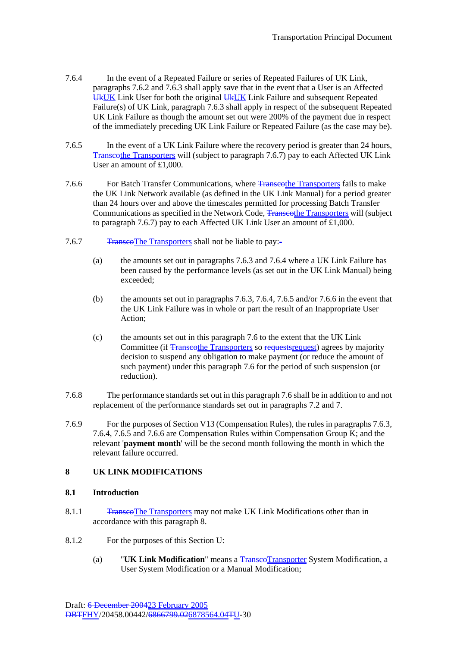- 7.6.4 In the event of a Repeated Failure or series of Repeated Failures of UK Link, paragraphs 7.6.2 and 7.6.3 shall apply save that in the event that a User is an Affected UkUK Link User for both the original UkUK Link Failure and subsequent Repeated Failure(s) of UK Link, paragraph 7.6.3 shall apply in respect of the subsequent Repeated UK Link Failure as though the amount set out were 200% of the payment due in respect of the immediately preceding UK Link Failure or Repeated Failure (as the case may be).
- 7.6.5 In the event of a UK Link Failure where the recovery period is greater than 24 hours, Transcothe Transporters will (subject to paragraph 7.6.7) pay to each Affected UK Link User an amount of  $£1,000$ .
- 7.6.6 For Batch Transfer Communications, where Transporters fails to make the UK Link Network available (as defined in the UK Link Manual) for a period greater than 24 hours over and above the timescales permitted for processing Batch Transfer Communications as specified in the Network Code, Transporters will (subject Southern 2011) Communications as specified in the Network Code, Transporters will (subject to paragraph 7.6.7) pay to each Affected UK Link User an amount of £1,000.
- 7.6.7 Transco The Transporters shall not be liable to pay:-
	- (a) the amounts set out in paragraphs 7.6.3 and 7.6.4 where a UK Link Failure has been caused by the performance levels (as set out in the UK Link Manual) being exceeded;
	- (b) the amounts set out in paragraphs 7.6.3, 7.6.4, 7.6.5 and/or 7.6.6 in the event that the UK Link Failure was in whole or part the result of an Inappropriate User Action;
	- (c) the amounts set out in this paragraph 7.6 to the extent that the UK Link Committee (if Transcothe Transporters so requests request) agrees by majority decision to suspend any obligation to make payment (or reduce the amount of such payment) under this paragraph 7.6 for the period of such suspension (or reduction).
- 7.6.8 The performance standards set out in this paragraph 7.6 shall be in addition to and not replacement of the performance standards set out in paragraphs 7.2 and 7.
- 7.6.9 For the purposes of Section V13 (Compensation Rules), the rules in paragraphs 7.6.3, 7.6.4, 7.6.5 and 7.6.6 are Compensation Rules within Compensation Group K; and the relevant '**payment month**' will be the second month following the month in which the relevant failure occurred.

## **8 UK LINK MODIFICATIONS**

#### **8.1 Introduction**

- 8.1.1 Transco The Transporters may not make UK Link Modifications other than in accordance with this paragraph 8.
- 8.1.2 For the purposes of this Section U:
	- (a) "**UK Link Modification**" means a TranscoTransporter System Modification, a User System Modification or a Manual Modification;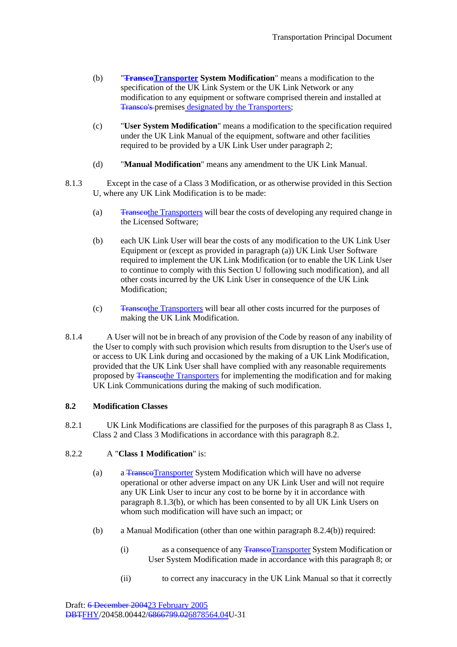- (b) **Transco Transporter System Modification**" means a modification to the specification of the UK Link System or the UK Link Network or any modification to any equipment or software comprised therein and installed at Transco's premises designated by the Transporters;
- (c) "**User System Modification**" means a modification to the specification required under the UK Link Manual of the equipment, software and other facilities required to be provided by a UK Link User under paragraph 2;
- (d) "**Manual Modification**" means any amendment to the UK Link Manual.
- 8.1.3 Except in the case of a Class 3 Modification, or as otherwise provided in this Section U, where any UK Link Modification is to be made:
	- (a) Transcothe Transporters will bear the costs of developing any required change in the Licensed Software;
	- (b) each UK Link User will bear the costs of any modification to the UK Link User Equipment or (except as provided in paragraph (a)) UK Link User Software required to implement the UK Link Modification (or to enable the UK Link User to continue to comply with this Section U following such modification), and all other costs incurred by the UK Link User in consequence of the UK Link Modification;
	- (c) Transcothe Transporters will bear all other costs incurred for the purposes of making the UK Link Modification.
- 8.1.4 A User will not be in breach of any provision of the Code by reason of any inability of the User to comply with such provision which results from disruption to the User's use of or access to UK Link during and occasioned by the making of a UK Link Modification, provided that the UK Link User shall have complied with any reasonable requirements proposed by Transcothe Transporters for implementing the modification and for making UK Link Communications during the making of such modification.

## **8.2 Modification Classes**

8.2.1 UK Link Modifications are classified for the purposes of this paragraph 8 as Class 1, Class 2 and Class 3 Modifications in accordance with this paragraph 8.2.

#### 8.2.2 A "**Class 1 Modification**" is:

- (a) a Transco Transporter System Modification which will have no adverse operational or other adverse impact on any UK Link User and will not require any UK Link User to incur any cost to be borne by it in accordance with paragraph 8.1.3(b), or which has been consented to by all UK Link Users on whom such modification will have such an impact; or
- (b) a Manual Modification (other than one within paragraph 8.2.4(b)) required:
	- (i) as a consequence of any TranscoTransporter System Modification or User System Modification made in accordance with this paragraph 8; or
	- (ii) to correct any inaccuracy in the UK Link Manual so that it correctly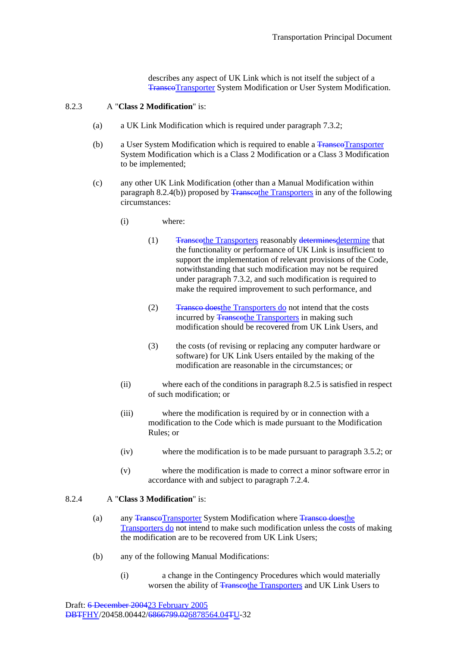describes any aspect of UK Link which is not itself the subject of a TranscoTransporter System Modification or User System Modification.

### 8.2.3 A "**Class 2 Modification**" is:

- (a) a UK Link Modification which is required under paragraph 7.3.2;
- (b) a User System Modification which is required to enable a Franse of Transporter System Modification which is a Class 2 Modification or a Class 3 Modification to be implemented;
- (c) any other UK Link Modification (other than a Manual Modification within paragraph 8.2.4(b)) proposed by Transcothe Transporters in any of the following circumstances:
	- (i) where:
		- (1) Transcothe Transporters reasonably determinesdetermine that the functionality or performance of UK Link is insufficient to support the implementation of relevant provisions of the Code, notwithstanding that such modification may not be required under paragraph 7.3.2, and such modification is required to make the required improvement to such performance, and
		- (2) Transco doesthe Transporters do not intend that the costs incurred by Transporters in making such modification should be recovered from UK Link Users, and
		- (3) the costs (of revising or replacing any computer hardware or software) for UK Link Users entailed by the making of the modification are reasonable in the circumstances; or
	- (ii) where each of the conditions in paragraph 8.2.5 is satisfied in respect of such modification; or
	- (iii) where the modification is required by or in connection with a modification to the Code which is made pursuant to the Modification Rules; or
	- (iv) where the modification is to be made pursuant to paragraph 3.5.2; or
	- (v) where the modification is made to correct a minor software error in accordance with and subject to paragraph 7.2.4.

### 8.2.4 A "**Class 3 Modification**" is:

- (a) any Transco Transporter System Modification where Transco does the Transporters do not intend to make such modification unless the costs of making the modification are to be recovered from UK Link Users;
- (b) any of the following Manual Modifications:
	- (i) a change in the Contingency Procedures which would materially worsen the ability of Transcothe Transporters and UK Link Users to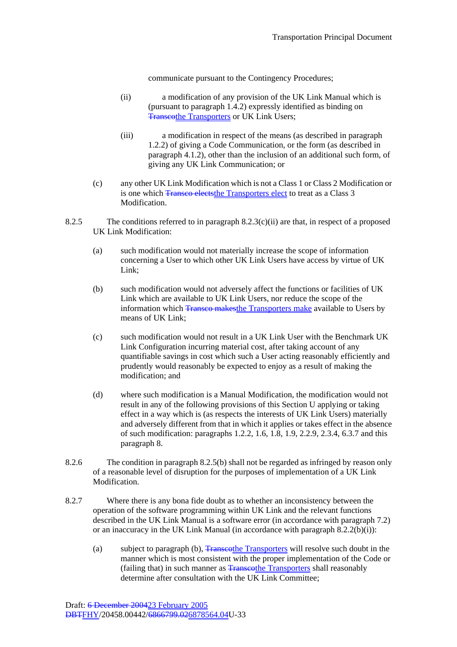communicate pursuant to the Contingency Procedures;

- (ii) a modification of any provision of the UK Link Manual which is (pursuant to paragraph 1.4.2) expressly identified as binding on **Transcothe Transporters or UK Link Users;**
- (iii) a modification in respect of the means (as described in paragraph 1.2.2) of giving a Code Communication, or the form (as described in paragraph 4.1.2), other than the inclusion of an additional such form, of giving any UK Link Communication; or
- (c) any other UK Link Modification which is not a Class 1 or Class 2 Modification or is one which Transco elects the Transporters elect to treat as a Class 3 Modification.
- 8.2.5 The conditions referred to in paragraph 8.2.3(c)(ii) are that, in respect of a proposed UK Link Modification:
	- (a) such modification would not materially increase the scope of information concerning a User to which other UK Link Users have access by virtue of UK Link:
	- (b) such modification would not adversely affect the functions or facilities of UK Link which are available to UK Link Users, nor reduce the scope of the information which Transco makesthe Transporters make available to Users by means of UK Link;
	- (c) such modification would not result in a UK Link User with the Benchmark UK Link Configuration incurring material cost, after taking account of any quantifiable savings in cost which such a User acting reasonably efficiently and prudently would reasonably be expected to enjoy as a result of making the modification; and
	- (d) where such modification is a Manual Modification, the modification would not result in any of the following provisions of this Section U applying or taking effect in a way which is (as respects the interests of UK Link Users) materially and adversely different from that in which it applies or takes effect in the absence of such modification: paragraphs 1.2.2, 1.6, 1.8, 1.9, 2.2.9, 2.3.4, 6.3.7 and this paragraph 8.
- 8.2.6 The condition in paragraph 8.2.5(b) shall not be regarded as infringed by reason only of a reasonable level of disruption for the purposes of implementation of a UK Link Modification.
- 8.2.7 Where there is any bona fide doubt as to whether an inconsistency between the operation of the software programming within UK Link and the relevant functions described in the UK Link Manual is a software error (in accordance with paragraph 7.2) or an inaccuracy in the UK Link Manual (in accordance with paragraph 8.2.2(b)(i)):
	- (a) subject to paragraph (b), Transcothe Transporters will resolve such doubt in the manner which is most consistent with the proper implementation of the Code or (failing that) in such manner as <del>Transcot</del>he Transporters shall reasonably determine after consultation with the UK Link Committee: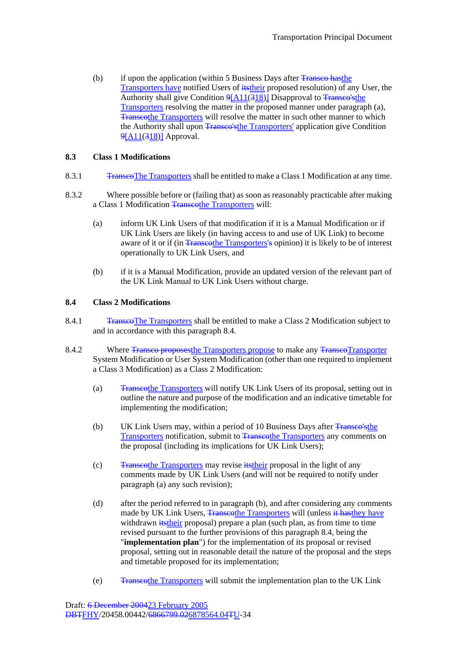(b) if upon the application (within 5 Business Days after  $\overline{\text{Transpose}}$  hasthe Transporters have notified Users of **itstheir** proposed resolution) of any User, the Authority shall give Condition  $9[A11(318)]$  Disapproval to Transco's the Transporters resolving the matter in the proposed manner under paragraph (a), Transcothe Transporters will resolve the matter in such other manner to which the Authority shall upon Transco's the Transporters' application give Condition 9[A11(318)] Approval.

### **8.3 Class 1 Modifications**

- 8.3.1 Transco The Transporters shall be entitled to make a Class 1 Modification at any time.
- 8.3.2 Where possible before or (failing that) as soon as reasonably practicable after making a Class 1 Modification Transcothe Transporters will:
	- (a) inform UK Link Users of that modification if it is a Manual Modification or if UK Link Users are likely (in having access to and use of UK Link) to become aware of it or if (in Transcothe Transporters's opinion) it is likely to be of interest operationally to UK Link Users, and
	- (b) if it is a Manual Modification, provide an updated version of the relevant part of the UK Link Manual to UK Link Users without charge.

#### **8.4 Class 2 Modifications**

- 8.4.1 **TranscoThe Transporters shall be entitled to make a Class 2 Modification subject to** and in accordance with this paragraph 8.4.
- 8.4.2 Where Transco proposes the Transporters propose to make any Transco Transporter System Modification or User System Modification (other than one required to implement a Class 3 Modification) as a Class 2 Modification:
	- (a) Transcothe Transporters will notify UK Link Users of its proposal, setting out in outline the nature and purpose of the modification and an indicative timetable for implementing the modification;
	- (b) UK Link Users may, within a period of 10 Business Days after Transco's the Transporters notification, submit to Transporters any comments on the proposal (including its implications for UK Link Users);
	- (c)  $\frac{1}{2}$  Transcothe Transporters may revise its their proposal in the light of any comments made by UK Link Users (and will not be required to notify under paragraph (a) any such revision);
	- (d) after the period referred to in paragraph (b), and after considering any comments made by UK Link Users, Transcothe Transporters will (unless it has they have withdrawn *itstheir* proposal) prepare a plan (such plan, as from time to time revised pursuant to the further provisions of this paragraph 8.4, being the "**implementation plan**") for the implementation of its proposal or revised proposal, setting out in reasonable detail the nature of the proposal and the steps and timetable proposed for its implementation;
	- (e) Transcothe Transporters will submit the implementation plan to the UK Link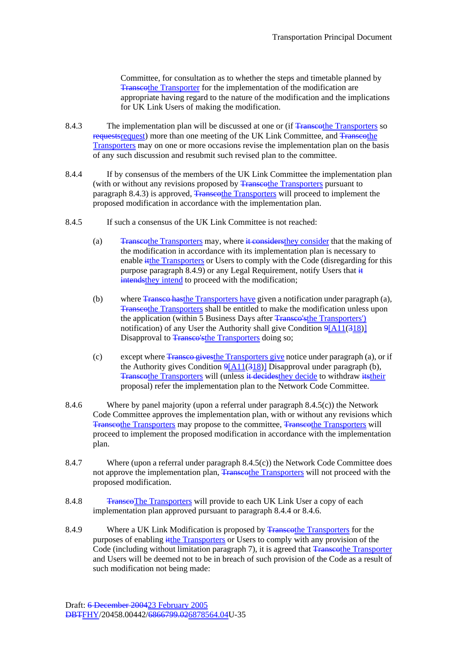Committee, for consultation as to whether the steps and timetable planned by Transcothe Transporter for the implementation of the modification are appropriate having regard to the nature of the modification and the implications for UK Link Users of making the modification.

- 8.4.3 The implementation plan will be discussed at one or (if Transporters so requests request) more than one meeting of the UK Link Committee, and <del>Transcothe</del> Transporters may on one or more occasions revise the implementation plan on the basis of any such discussion and resubmit such revised plan to the committee.
- 8.4.4 If by consensus of the members of the UK Link Committee the implementation plan (with or without any revisions proposed by **Transcothe Transporters** pursuant to paragraph 8.4.3) is approved, Transporters will proceed to implement the proposed modification in accordance with the implementation plan.
- 8.4.5 If such a consensus of the UK Link Committee is not reached:
	- (a) Transcothe Transporters may, where it considers the ventral order that the making of the modification in accordance with its implementation plan is necessary to enable it the Transporters or Users to comply with the Code (disregarding for this purpose paragraph 8.4.9) or any Legal Requirement, notify Users that  $\frac{1}{x}$ intendsthey intend to proceed with the modification;
	- (b) where Transco has the Transporters have given a notification under paragraph (a), Transcothe Transporters shall be entitled to make the modification unless upon the application (within 5 Business Days after Transporters ) notification) of any User the Authority shall give Condition  $9[A11(318)]$ Disapproval to Transco's the Transporters doing so;
	- (c) except where Transco givesthe Transporters give notice under paragraph (a), or if the Authority gives Condition  $9[A11(318)]$  Disapproval under paragraph (b), Transcothe Transporters will (unless it decides they decide to withdraw its their proposal) refer the implementation plan to the Network Code Committee.
- 8.4.6 Where by panel majority (upon a referral under paragraph 8.4.5(c)) the Network Code Committee approves the implementation plan, with or without any revisions which Transcothe Transporters may propose to the committee, Transcothe Transporters will proceed to implement the proposed modification in accordance with the implementation plan.
- 8.4.7 Where (upon a referral under paragraph 8.4.5(c)) the Network Code Committee does not approve the implementation plan, Transcothe Transporters will not proceed with the proposed modification.
- 8.4.8 Transco The Transporters will provide to each UK Link User a copy of each implementation plan approved pursuant to paragraph 8.4.4 or 8.4.6.
- 8.4.9 Where a UK Link Modification is proposed by Transcothe Transporters for the purposes of enabling it the Transporters or Users to comply with any provision of the Code (including without limitation paragraph 7), it is agreed that Transporter Transporter and Users will be deemed not to be in breach of such provision of the Code as a result of such modification not being made: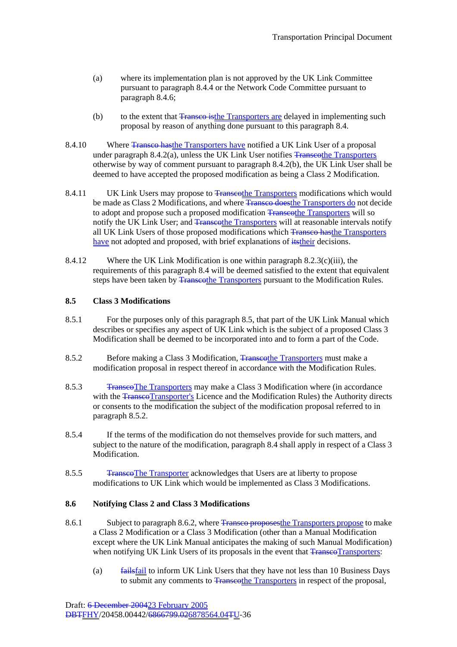- (a) where its implementation plan is not approved by the UK Link Committee pursuant to paragraph 8.4.4 or the Network Code Committee pursuant to paragraph 8.4.6;
- (b) to the extent that Transco is the Transporters are delayed in implementing such proposal by reason of anything done pursuant to this paragraph 8.4.
- 8.4.10 Where Transco has the Transporters have notified a UK Link User of a proposal under paragraph  $8.4.2(a)$ , unless the UK Link User notifies Transporters otherwise by way of comment pursuant to paragraph 8.4.2(b), the UK Link User shall be deemed to have accepted the proposed modification as being a Class 2 Modification.
- 8.4.11 UK Link Users may propose to Transporters modifications which would be made as Class 2 Modifications, and where **Transco doesthe Transporters do not decide** to adopt and propose such a proposed modification Transporters will so notify the UK Link User; and Transcothe Transporters will at reasonable intervals notify all UK Link Users of those proposed modifications which Transco hasthe Transporters have not adopted and proposed, with brief explanations of its their decisions.
- 8.4.12 Where the UK Link Modification is one within paragraph 8.2.3(c)(iii), the requirements of this paragraph 8.4 will be deemed satisfied to the extent that equivalent steps have been taken by <del>Transcot</del>he Transporters pursuant to the Modification Rules.

## **8.5 Class 3 Modifications**

- 8.5.1 For the purposes only of this paragraph 8.5, that part of the UK Link Manual which describes or specifies any aspect of UK Link which is the subject of a proposed Class 3 Modification shall be deemed to be incorporated into and to form a part of the Code.
- 8.5.2 Before making a Class 3 Modification, Transporters must make a modification proposal in respect thereof in accordance with the Modification Rules.
- 8.5.3 Transco The Transporters may make a Class 3 Modification where (in accordance with the TranscoTransporter's Licence and the Modification Rules) the Authority directs or consents to the modification the subject of the modification proposal referred to in paragraph 8.5.2.
- 8.5.4 If the terms of the modification do not themselves provide for such matters, and subject to the nature of the modification, paragraph 8.4 shall apply in respect of a Class 3 Modification.
- 8.5.5 TranscoThe Transporter acknowledges that Users are at liberty to propose modifications to UK Link which would be implemented as Class 3 Modifications.

### **8.6 Notifying Class 2 and Class 3 Modifications**

- 8.6.1 Subject to paragraph 8.6.2, where Transposes the Transporters propose to make a Class 2 Modification or a Class 3 Modification (other than a Manual Modification except where the UK Link Manual anticipates the making of such Manual Modification) when notifying UK Link Users of its proposals in the event that TranseoTransporters:
	- (a) failsfail to inform UK Link Users that they have not less than 10 Business Days to submit any comments to Transcothe Transporters in respect of the proposal,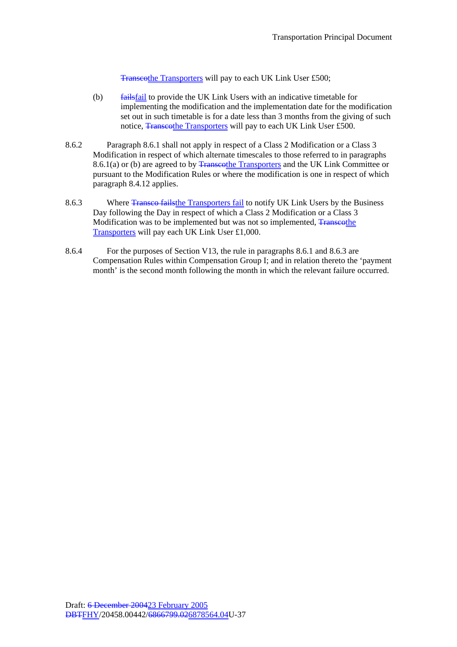Transcothe Transporters will pay to each UK Link User £500;

- (b) failsfail to provide the UK Link Users with an indicative timetable for implementing the modification and the implementation date for the modification set out in such timetable is for a date less than 3 months from the giving of such notice, Transcothe Transporters will pay to each UK Link User £500.
- 8.6.2 Paragraph 8.6.1 shall not apply in respect of a Class 2 Modification or a Class 3 Modification in respect of which alternate timescales to those referred to in paragraphs 8.6.1(a) or (b) are agreed to by Transcothe Transporters and the UK Link Committee or pursuant to the Modification Rules or where the modification is one in respect of which paragraph 8.4.12 applies.
- 8.6.3 Where Transco fails the Transporters fail to notify UK Link Users by the Business Day following the Day in respect of which a Class 2 Modification or a Class 3 Modification was to be implemented but was not so implemented, Transcothe Transporters will pay each UK Link User £1,000.
- 8.6.4 For the purposes of Section V13, the rule in paragraphs 8.6.1 and 8.6.3 are Compensation Rules within Compensation Group I; and in relation thereto the 'payment month' is the second month following the month in which the relevant failure occurred.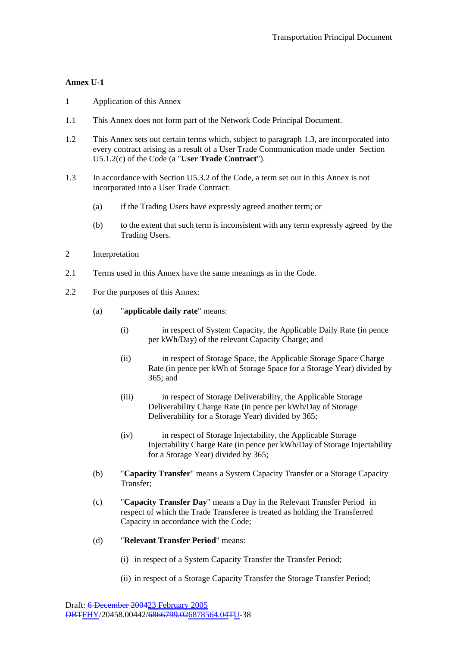## **Annex U-1**

- 1 Application of this Annex
- 1.1 This Annex does not form part of the Network Code Principal Document.
- 1.2 This Annex sets out certain terms which, subject to paragraph 1.3, are incorporated into every contract arising as a result of a User Trade Communication made under Section U5.1.2(c) of the Code (a "**User Trade Contract**").
- 1.3 In accordance with Section U5.3.2 of the Code, a term set out in this Annex is not incorporated into a User Trade Contract:
	- (a) if the Trading Users have expressly agreed another term; or
	- (b) to the extent that such term is inconsistent with any term expressly agreed by the Trading Users.
- 2 Interpretation
- 2.1 Terms used in this Annex have the same meanings as in the Code.
- 2.2 For the purposes of this Annex:
	- (a) "**applicable daily rate**" means:
		- (i) in respect of System Capacity, the Applicable Daily Rate (in pence per kWh/Day) of the relevant Capacity Charge; and
		- (ii) in respect of Storage Space, the Applicable Storage Space Charge Rate (in pence per kWh of Storage Space for a Storage Year) divided by 365; and
		- (iii) in respect of Storage Deliverability, the Applicable Storage Deliverability Charge Rate (in pence per kWh/Day of Storage Deliverability for a Storage Year) divided by 365;
		- (iv) in respect of Storage Injectability, the Applicable Storage Injectability Charge Rate (in pence per kWh/Day of Storage Injectability for a Storage Year) divided by 365;
	- (b) "**Capacity Transfer**" means a System Capacity Transfer or a Storage Capacity Transfer;
	- (c) "**Capacity Transfer Day**" means a Day in the Relevant Transfer Period in respect of which the Trade Transferee is treated as holding the Transferred Capacity in accordance with the Code;
	- (d) "**Relevant Transfer Period**" means:
		- (i) in respect of a System Capacity Transfer the Transfer Period;
		- (ii) in respect of a Storage Capacity Transfer the Storage Transfer Period;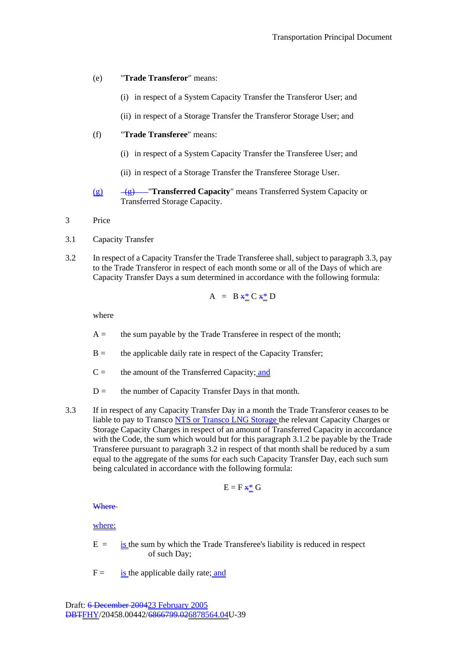- (e) "**Trade Transferor**" means:
	- (i) in respect of a System Capacity Transfer the Transferor User; and
	- (ii) in respect of a Storage Transfer the Transferor Storage User; and
- (f) "**Trade Transferee**" means:
	- (i) in respect of a System Capacity Transfer the Transferee User; and
	- (ii) in respect of a Storage Transfer the Transferee Storage User.
- (g) (g) "**Transferred Capacity**" means Transferred System Capacity or Transferred Storage Capacity.
- 3 Price
- 3.1 Capacity Transfer
- 3.2 In respect of a Capacity Transfer the Trade Transferee shall, subject to paragraph 3.3, pay to the Trade Transferor in respect of each month some or all of the Days of which are Capacity Transfer Days a sum determined in accordance with the following formula:

$$
A = B \mathbf{x}^* \mathbf{C} \mathbf{x}^* \mathbf{D}
$$

where

- $A =$  the sum payable by the Trade Transferee in respect of the month;
- $B =$  the applicable daily rate in respect of the Capacity Transfer;
- $C =$  the amount of the Transferred Capacity; and
- $D =$  the number of Capacity Transfer Days in that month.
- 3.3 If in respect of any Capacity Transfer Day in a month the Trade Transferor ceases to be liable to pay to Transco NTS or Transco LNG Storage the relevant Capacity Charges or Storage Capacity Charges in respect of an amount of Transferred Capacity in accordance with the Code, the sum which would but for this paragraph 3.1.2 be payable by the Trade Transferee pursuant to paragraph 3.2 in respect of that month shall be reduced by a sum equal to the aggregate of the sums for each such Capacity Transfer Day, each such sum being calculated in accordance with the following formula:

$$
E = F \mathbf{H}^* \mathbf{G}
$$

**Where** 

where:

- $E =$  is the sum by which the Trade Transferee's liability is reduced in respect of such Day;
- $F =$  is the applicable daily rate; and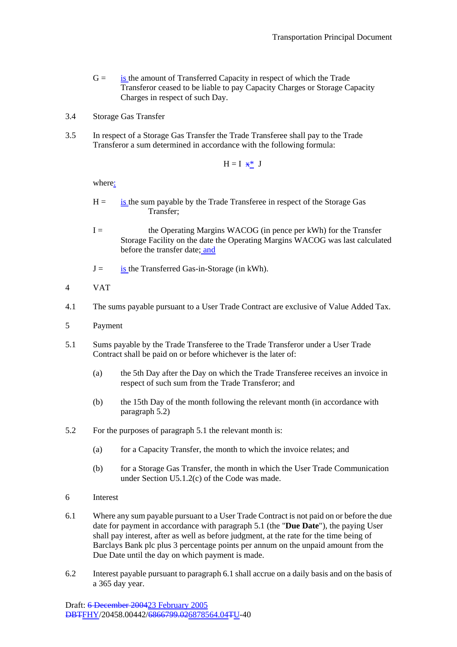- $G =$  is the amount of Transferred Capacity in respect of which the Trade Transferor ceased to be liable to pay Capacity Charges or Storage Capacity Charges in respect of such Day.
- 3.4 Storage Gas Transfer
- 3.5 In respect of a Storage Gas Transfer the Trade Transferee shall pay to the Trade Transferor a sum determined in accordance with the following formula:

$$
H = I \mathbf{H} \mathbf{H} \mathbf{I}
$$

where:

- $H =$  is the sum payable by the Trade Transferee in respect of the Storage Gas Transfer;
- I = the Operating Margins WACOG (in pence per kWh) for the Transfer Storage Facility on the date the Operating Margins WACOG was last calculated before the transfer date; and
- $J =$  is the Transferred Gas-in-Storage (in kWh).
- 4 VAT
- 4.1 The sums payable pursuant to a User Trade Contract are exclusive of Value Added Tax.
- 5 Payment
- 5.1 Sums payable by the Trade Transferee to the Trade Transferor under a User Trade Contract shall be paid on or before whichever is the later of:
	- (a) the 5th Day after the Day on which the Trade Transferee receives an invoice in respect of such sum from the Trade Transferor; and
	- (b) the 15th Day of the month following the relevant month (in accordance with paragraph 5.2)
- 5.2 For the purposes of paragraph 5.1 the relevant month is:
	- (a) for a Capacity Transfer, the month to which the invoice relates; and
	- (b) for a Storage Gas Transfer, the month in which the User Trade Communication under Section U5.1.2(c) of the Code was made.
- 6 Interest
- 6.1 Where any sum payable pursuant to a User Trade Contract is not paid on or before the due date for payment in accordance with paragraph 5.1 (the "**Due Date**"), the paying User shall pay interest, after as well as before judgment, at the rate for the time being of Barclays Bank plc plus 3 percentage points per annum on the unpaid amount from the Due Date until the day on which payment is made.
- 6.2 Interest payable pursuant to paragraph 6.1 shall accrue on a daily basis and on the basis of a 365 day year.